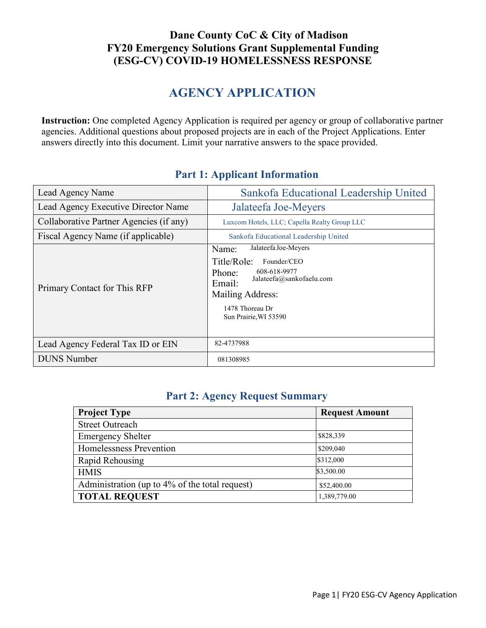## **Dane County CoC & City of Madison FY20 Emergency Solutions Grant Supplemental Funding (ESG-CV) COVID-19 HOMELESSNESS RESPONSE**

# **AGENCY APPLICATION**

**Instruction:** One completed Agency Application is required per agency or group of collaborative partner agencies. Additional questions about proposed projects are in each of the Project Applications. Enter answers directly into this document. Limit your narrative answers to the space provided.

| Lead Agency Name                        | Sankofa Educational Leadership United                                                                                                                                                       |  |
|-----------------------------------------|---------------------------------------------------------------------------------------------------------------------------------------------------------------------------------------------|--|
| Lead Agency Executive Director Name     | Jalateefa Joe-Meyers                                                                                                                                                                        |  |
| Collaborative Partner Agencies (if any) | Luxcom Hotels, LLC; Capella Realty Group LLC                                                                                                                                                |  |
| Fiscal Agency Name (if applicable)      | Sankofa Educational Leadership United                                                                                                                                                       |  |
| Primary Contact for This RFP            | Jalateefa Joe-Meyers<br>Name:<br>Title/Role:<br>Founder/CEO<br>608-618-9977<br>Phone:<br>Jalateefa@sankofaelu.com<br>Email:<br>Mailing Address:<br>1478 Thoreau Dr<br>Sun Prairie, WI 53590 |  |
| Lead Agency Federal Tax ID or EIN       | 82-4737988                                                                                                                                                                                  |  |
| <b>DUNS</b> Number                      | 081308985                                                                                                                                                                                   |  |

## **Part 1: Applicant Information**

# **Part 2: Agency Request Summary**

| <b>Project Type</b>                            | <b>Request Amount</b> |
|------------------------------------------------|-----------------------|
| <b>Street Outreach</b>                         |                       |
| <b>Emergency Shelter</b>                       | \$828,339             |
| Homelessness Prevention                        | \$209,040             |
| Rapid Rehousing                                | \$312,000             |
| <b>HMIS</b>                                    | \$3,500.00            |
| Administration (up to 4% of the total request) | \$52,400.00           |
| <b>TOTAL REQUEST</b>                           | 1,389,779.00          |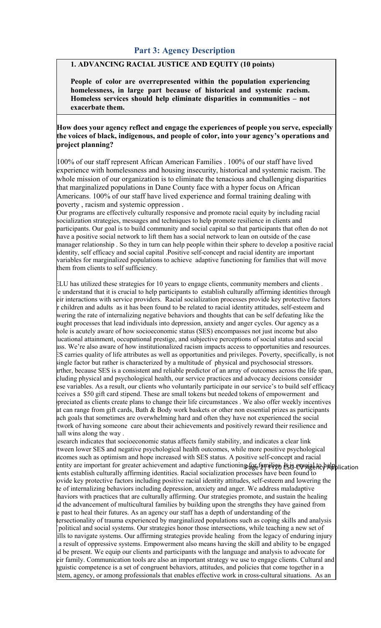## **Part 3: Agency Description**

## **1. ADVANCING RACIAL JUSTICE AND EQUITY (10 points)**

**People of color are overrepresented within the population experiencing homelessness, in large part because of historical and systemic racism. Homeless services should help eliminate disparities in communities – not exacerbate them.**

#### **How does your agency reflect and engage the experiences of people you serve, especially the voices of black, indigenous, and people of color, into your agency's operations and project planning?**

100% of our staff represent African American Families . 100% of our staff have lived experience with homelessness and housing insecurity, historical and systemic racism. The whole mission of our organization is to eliminate the tenacious and challenging disparities that marginalized populations in Dane County face with a hyper focus on African Americans. 100% of our staff have lived experience and formal training dealing with poverty , racism and systemic oppression .

Our programs are effectively culturally responsive and promote racial equity by including racial socialization strategies, messages and techniques to help promote resilience in clients and participants. Our goal is to build community and social capital so that participants that often do not have a positive social network to lift them has a social network to lean on outside of the case manager relationship . So they in turn can help people within their sphere to develop a positive racial identity, self efficacy and social capital .Positive self-concept and racial identity are important variables for marginalized populations to achieve adaptive functioning for families that will move them from clients to self sufficiency.

ELU has utilized these strategies for 10 years to engage clients, community members and clients . We understand that it is crucial to help participants to establish culturally affirming identities through eir interactions with service providers. Racial socialization processes provide key protective factors r children and adults as it has been found to be related to racial identity attitudes, self-esteem and wering the rate of internalizing negative behaviors and thoughts that can be self defeating like the ought processes that lead individuals into depression, anxiety and anger cycles. Our agency as a hole is acutely aware of how socioeconomic status (SES) encompasses not just income but also ducational attainment, occupational prestige, and subjective perceptions of social status and social ass. We're also aware of how institutionalized racism impacts access to opportunities and resources. ES carries quality of life attributes as well as opportunities and privileges. Poverty, specifically, is not single factor but rather is characterized by a multitude of physical and psychosocial stressors. urther, because SES is a consistent and reliable predictor of an array of outcomes across the life span, cluding physical and psychological health, our service practices and advocacy decisions consider ese variables. As a result, our clients who voluntarily participate in our service's to build self efficacy eceives a \$50 gift card stipend. These are small tokens but needed tokens of empowerment and ppreciated as clients create plans to change their life circumstances . We also offer weekly incentives at can range from gift cards, Bath & Body work baskets or other non essential prizes as participants ach goals that sometimes are overwhelming hard and often they have not experienced the social twork of having someone care about their achievements and positively reward their resilience and hall wins along the way.

entity are important for greater achievement and adaptive functioning for families. It is example to help lication esearch indicates that socioeconomic status affects family stability, and indicates a clear link etween lower SES and negative psychological health outcomes, while more positive psychological utcomes such as optimism and hope increased with SES status. A positive self-concept and racial ents establish culturally affirming identities. Racial socialization processes have been found to ovide key protective factors including positive racial identity attitudes, self-esteem and lowering the te of internalizing behaviors including depression, anxiety and anger. We address maladaptive haviors with practices that are culturally affirming. Our strategies promote, and sustain the healing d the advancement of multicultural families by building upon the strengths they have gained from e past to heal their futures. As an agency our staff has a depth of understanding of the tersectionality of trauma experienced by marginalized populations such as coping skills and analysis political and social systems. Our strategies honor those intersections, while teaching a new set of kills to navigate systems. Our affirming strategies provide healing from the legacy of enduring injury a result of oppressive systems. Empowerment also means having the skill and ability to be engaged nd be present. We equip our clients and participants with the language and analysis to advocate for eir family. Communication tools are also an important strategy we use to engage clients. Cultural and nguistic competence is a set of congruent behaviors, attitudes, and policies that come together in a stem, agency, or among professionals that enables effective work in cross-cultural situations. As an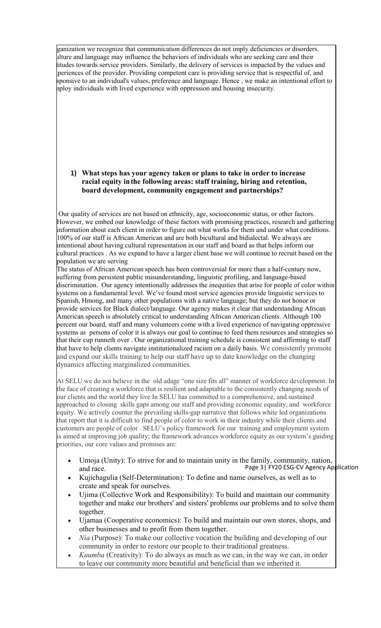rganization we recognize that communication differences do not imply deficiencies or disorders. ulture and language may influence the behaviors of individuals who are seeking care and their titudes towards service providers. Similarly, the delivery of services is impacted by the values and periences of the provider. Providing competent care is providing service that is respectful of, and sponsive to an individual's values, preference and language. Hence , we make an intentional effort to mploy individuals with lived experience with oppression and housing insecurity.

#### **1) What steps has your agency taken or plans to take in order to increase racial equity inthe following areas: staff training, hiring and retention, board development, community engagement and partnerships?**

Our quality of services are not based on ethnicity, age, socioeconomic status, or other factors. However, we embed our knowledge of these factors with promising practices, research and gathering information about each client in order to figure out what works for them and under what conditions. 100% of our staff is African American and are both bicultural and bidialectal. We always are intentional about having cultural representation in our staff and board as that helps inform our cultural practices . As we expand to have a larger client base we will continue to recruit based on the population we are serving

The status of African American speech has been controversial for more than a half-century now, suffering from persistent public misunderstanding, linguistic profiling, and language-based discrimination. Our agency intentionally addresses the inequities that arise for people of color within systems on a fundamental level. We've found most service agencies provide linguistic services to Spanish, Hmong, and many other populations with a native language; but they do not honor or provide services for Black dialect/language. Our agency makes it clear that understanding African American speech is absolutely critical to understanding African American clients. Although 100 percent our board, staff and many volunteers come with a lived experience of navigating oppressive systems as persons of color it is always our goal to continue to feed them resources and strategies so that their cup runneth over . Our organizational training schedule is consistent and affirming to staff that have to help clients navigate institutionalized racism on a daily basis. We consistently promote and expand our skills training to help our staff have up to date knowledge on the changing dynamics affecting marginalized communities.

At SELU we do not believe in the old adage "one size fits all" manner of workforce development. In the face of creating a workforce that is resilient and adaptable to the consistently changing needs of our clients and the world they live In SELU has committed to a comprehensive, and sustained approached to closing skills gaps among our staff and providing economic equality, and workforce equity. We actively counter the prevailing skills-gap narrative that follows white led organizations that report that it is difficult to find people of color to work in their industry while their clients and customers are people of color . SELU's policy framework for our training and employment system is aimed at improving job quality; the framework advances workforce equity as our system's guiding priorities, our core values and promises are:

- Page 3| FY20 ESG-CV Agency Application Umoja (Unity): To strive for and to maintain unity in the family, community, nation, and race.
- Kujichagulia (Self-Determination): To define and name ourselves, as well as to create and speak for ourselves.
- Ujima (Collective Work and Responsibility): To build and maintain our community together and make our brothers' and sisters' problems our problems and to solve them together.
- [Ujamaa](https://en.m.wikipedia.org/wiki/Ujamaa) [\(Cooperative](https://en.m.wikipedia.org/wiki/Cooperative_economics) economics): To build and maintain our own stores, shops, and other businesses and to profit from them together.
- *Nia* (Purpose): To make our collective vocation the building and developing of our community in order to restore our people to their traditional greatness.
- *Kuumba* (Creativity): To do always as much as we can, in the way we can, in order to leave our community more beautiful and beneficial than we inherited it.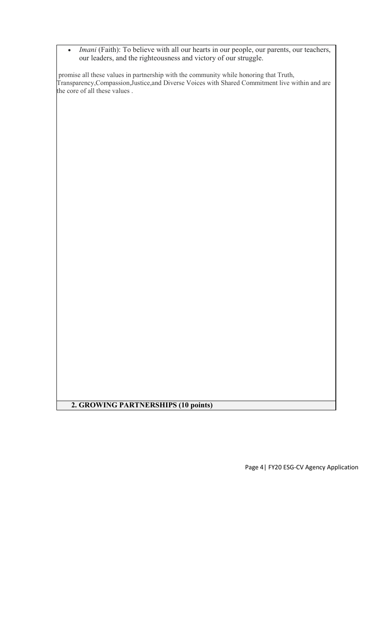• *Imani* (Faith): To believe with all our hearts in our people, our parents, our teachers, our leaders, and the righteousness and victory of our struggle.

promise all these values in partnership with the community while honoring that Truth, Transparency,Compassion,Justice,and Diverse Voices with Shared Commitment live within and are the core of all these values .

# **2. GROWING PARTNERSHIPS (10 points)**

Page 4| FY20 ESG-CV Agency Application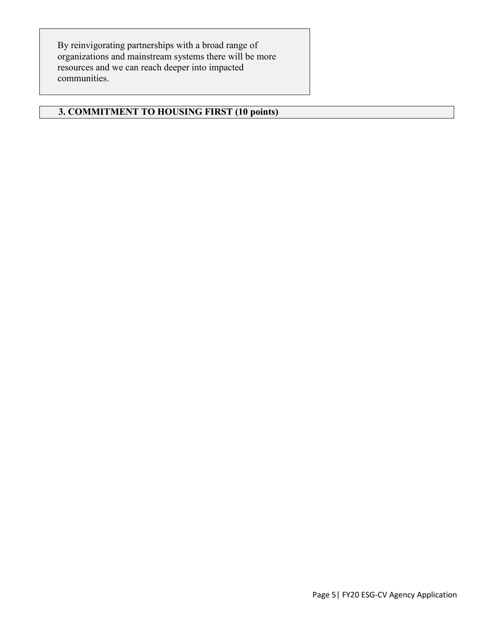By reinvigorating partnerships with a broad range of organizations and mainstream systems there will be more resources and we can reach deeper into impacted communities.

### **3. COMMITMENT TO HOUSING FIRST (10 points)**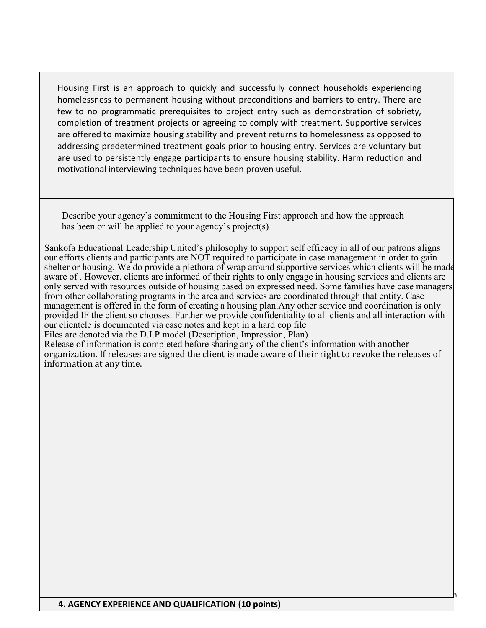Housing First is an approach to quickly and successfully connect households experiencing homelessness to permanent housing without preconditions and barriers to entry. There are few to no programmatic prerequisites to project entry such as demonstration of sobriety, completion of treatment projects or agreeing to comply with treatment. Supportive services are offered to maximize housing stability and prevent returns to homelessness as opposed to addressing predetermined treatment goals prior to housing entry. Services are voluntary but are used to persistently engage participants to ensure housing stability. Harm reduction and motivational interviewing techniques have been proven useful.

Describe your agency's commitment to the Housing First approach and how the approach has been or will be applied to your agency's project(s).

Sankofa Educational Leadership United's philosophy to support self efficacy in all of our patrons aligns our efforts clients and participants are NOT required to participate in case management in order to gain shelter or housing. We do provide a plethora of wrap around supportive services which clients will be made aware of . However, clients are informed of their rights to only engage in housing services and clients are only served with resources outside of housing based on expressed need. Some families have case managers from other collaborating programs in the area and services are coordinated through that entity. Case management is offered in the form of creating a housing plan.Any other service and coordination is only provided IF the client so chooses. Further we provide confidentiality to all clients and all interaction with our clientele is documented via case notes and kept in a hard cop file

Files are denoted via the D.I.P model (Description, Impression, Plan)

Release of information is completed before sharing any of the client's information with another organization. If releases are signed the client is made aware of their right to revoke the releases of information at any time.

<u>Page 6| Fy20 Esg-Cv Agency Application Application</u>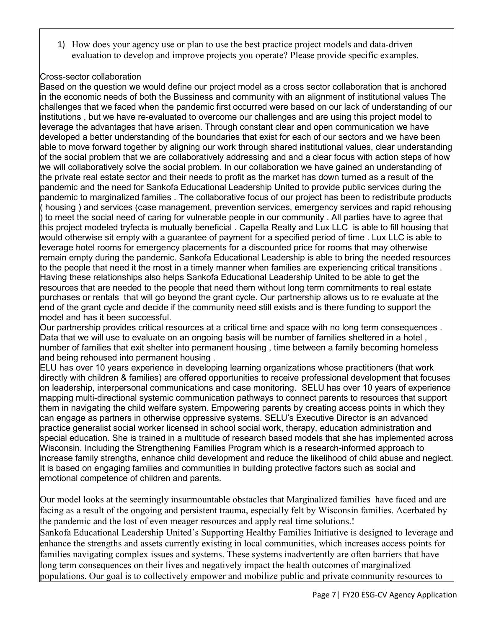1) How does your agency use or plan to use the best practice project models and data-driven evaluation to develop and improve projects you operate? Please provide specific examples.

#### Cross-sector collaboration

Based on the question we would define our project model as a cross sector collaboration that is anchored in the economic needs of both the Bussiness and community with an alignment of institutional values The challenges that we faced when the pandemic first occurred were based on our lack of understanding of our institutions , but we have re-evaluated to overcome our challenges and are using this project model to leverage the advantages that have arisen. Through constant clear and open communication we have developed a better understanding of the boundaries that exist for each of our sectors and we have been able to move forward together by aligning our work through shared institutional values, clear understanding of the social problem that we are collaboratively addressing and and a clear focus with action steps of how we will collaboratively solve the social problem. In our collaboration we have gained an understanding of the private real estate sector and their needs to profit as the market has down turned as a result of the pandemic and the need for Sankofa Educational Leadership United to provide public services during the pandemic to marginalized families . The collaborative focus of our project has been to redistribute products ( housing ) and services (case management, prevention services, emergency services and rapid rehousing ) to meet the social need of caring for vulnerable people in our community . All parties have to agree that this project modeled tryfecta is mutually beneficial . Capella Realty and Lux LLC is able to fill housing that would otherwise sit empty with a guarantee of payment for a specified period of time . Lux LLC is able to leverage hotel rooms for emergency placements for a discounted price for rooms that may otherwise remain empty during the pandemic. Sankofa Educational Leadership is able to bring the needed resources to the people that need it the most in a timely manner when families are experiencing critical transitions . Having these relationships also helps Sankofa Educational Leadership United to be able to get the resources that are needed to the people that need them without long term commitments to real estate purchases or rentals that will go beyond the grant cycle. Our partnership allows us to re evaluate at the end of the grant cycle and decide if the community need still exists and is there funding to support the model and has it been successful.

Our partnership provides critical resources at a critical time and space with no long term consequences . Data that we will use to evaluate on an ongoing basis will be number of families sheltered in a hotel , number of families that exit shelter into permanent housing , time between a family becoming homeless and being rehoused into permanent housing .

ELU has over 10 years experience in developing learning organizations whose practitioners (that work directly with children & families) are offered opportunities to receive professional development that focuses on leadership, interpersonal communications and case monitoring. SELU has over 10 years of experience mapping multi-directional systemic communication pathways to connect parents to resources that support them in navigating the child welfare system. Empowering parents by creating access points in which they can engage as partners in otherwise oppressive systems. SELU's Executive Director is an advanced practice generalist social worker licensed in school social work, therapy, education administration and special education. She is trained in a multitude of research based models that she has implemented across Wisconsin. Including the Strengthening Families Program which is a research-informed approach to increase family strengths, enhance child development and reduce the likelihood of child abuse and neglect. It is based on engaging families and communities in building protective factors such as social and emotional competence of children and parents.

Our model looks at the seemingly insurmountable obstacles that Marginalized families have faced and are facing as a result of the ongoing and persistent trauma, especially felt by Wisconsin families. Acerbated by the pandemic and the lost of even meager resources and apply real time solutions.!

Sankofa Educational Leadership United's Supporting Healthy Families Initiative is designed to leverage and enhance the strengths and assets currently existing in local communities, which increases access points for families navigating complex issues and systems. These systems inadvertently are often barriers that have long term consequences on their lives and negatively impact the health outcomes of marginalized populations. Our goal is to collectively empower and mobilize public and private community resources to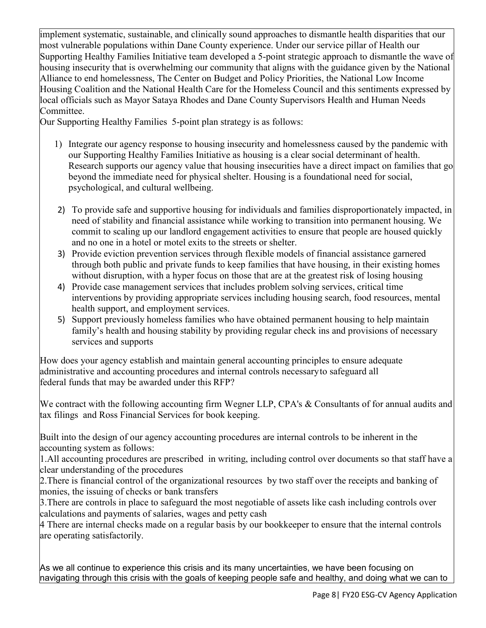implement systematic, sustainable, and clinically sound approaches to dismantle health disparities that our most vulnerable populations within Dane County experience. Under our service pillar of Health our Supporting Healthy Families Initiative team developed a 5-point strategic approach to dismantle the wave of housing insecurity that is overwhelming our community that aligns with the guidance given by the National Alliance to end homelessness, The Center on Budget and Policy Priorities, the National Low Income Housing Coalition and the National Health Care for the Homeless Council and this sentiments expressed by local officials such as Mayor Sataya Rhodes and Dane County Supervisors Health and Human Needs Committee.

Our Supporting Healthy Families 5-point plan strategy is as follows:

- 1) Integrate our agency response to housing insecurity and homelessness caused by the pandemic with our Supporting Healthy Families Initiative as housing is a clear social determinant of health. Research supports our agency value that housing insecurities have a direct impact on families that go beyond the immediate need for physical shelter. Housing is a foundational need for social, psychological, and cultural wellbeing.
- 2) To provide safe and supportive housing for individuals and families disproportionately impacted, in need of stability and financial assistance while working to transition into permanent housing. We commit to scaling up our landlord engagement activities to ensure that people are housed quickly and no one in a hotel or motel exits to the streets or shelter.
- 3) Provide eviction prevention services through flexible models of financial assistance garnered through both public and private funds to keep families that have housing, in their existing homes without disruption, with a hyper focus on those that are at the greatest risk of losing housing
- 4) Provide case management services that includes problem solving services, critical time interventions by providing appropriate services including housing search, food resources, mental health support, and employment services.
- 5) Support previously homeless families who have obtained permanent housing to help maintain family's health and housing stability by providing regular check ins and provisions of necessary services and supports

How does your agency establish and maintain general accounting principles to ensure adequate administrative and accounting procedures and internal controls necessaryto safeguard all federal funds that may be awarded under this RFP?

We contract with the following accounting firm Wegner LLP, CPA's & Consultants of for annual audits and tax filings and Ross Financial Services for book keeping.

Built into the design of our agency accounting procedures are internal controls to be inherent in the accounting system as follows:

1.All accounting procedures are prescribed in writing, including control over documents so that staff have a clear understanding of the procedures

2. There is financial control of the organizational resources by two staff over the receipts and banking of monies, the issuing of checks or bank transfers

3.There are controls in place to safeguard the most negotiable of assets like cash including controls over calculations and payments of salaries, wages and petty cash

4 There are internal checks made on a regular basis by our bookkeeper to ensure that the internal controls are operating satisfactorily.

As we all continue to experience this crisis and its many uncertainties, we have been focusing on navigating through this crisis with the goals of keeping people safe and healthy, and doing what we can to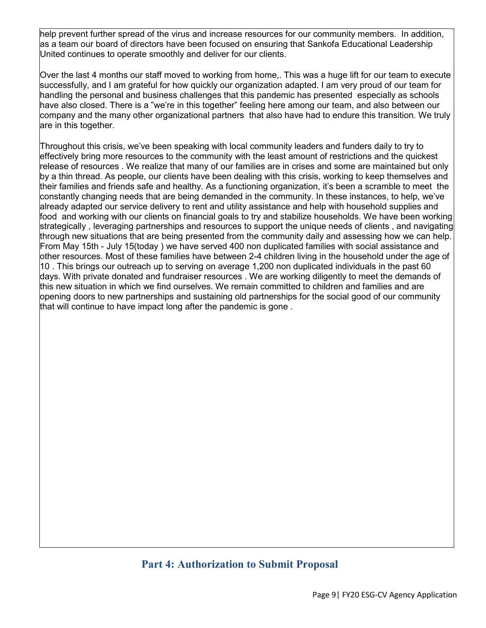help prevent further spread of the virus and increase resources for our community members. In addition, as a team our board of directors have been focused on ensuring that Sankofa Educational Leadership United continues to operate smoothly and deliver for our clients.

Over the last 4 months our staff moved to working from home,. This was a huge lift for our team to execute successfully, and I am grateful for how quickly our organization adapted. I am very proud of our team for handling the personal and business challenges that this pandemic has presented especially as schools have also closed. There is a "we're in this together" feeling here among our team, and also between our company and the many other organizational partners that also have had to endure this transition. We truly are in this together.

Throughout this crisis, we've been speaking with local community leaders and funders daily to try to effectively bring more resources to the community with the least amount of restrictions and the quickest release of resources . We realize that many of our families are in crises and some are maintained but only by a thin thread. As people, our clients have been dealing with this crisis, working to keep themselves and their families and friends safe and healthy. As a functioning organization, it's been a scramble to meet the constantly changing needs that are being demanded in the community. In these instances, to help, we've already adapted our service delivery to rent and utility assistance and help with household supplies and food and working with our clients on financial goals to try and stabilize households. We have been working strategically , leveraging partnerships and resources to support the unique needs of clients , and navigating through new situations that are being presented from the community daily and assessing how we can help. From May 15th - July 15(today ) we have served 400 non duplicated families with social assistance and other resources. Most of these families have between 2-4 children living in the household under the age of 10 . This brings our outreach up to serving on average 1,200 non duplicated individuals in the past 60 days. With private donated and fundraiser resources . We are working diligently to meet the demands of this new situation in which we find ourselves. We remain committed to children and families and are opening doors to new partnerships and sustaining old partnerships for the social good of our community that will continue to have impact long after the pandemic is gone .

# **Part 4: Authorization to Submit Proposal**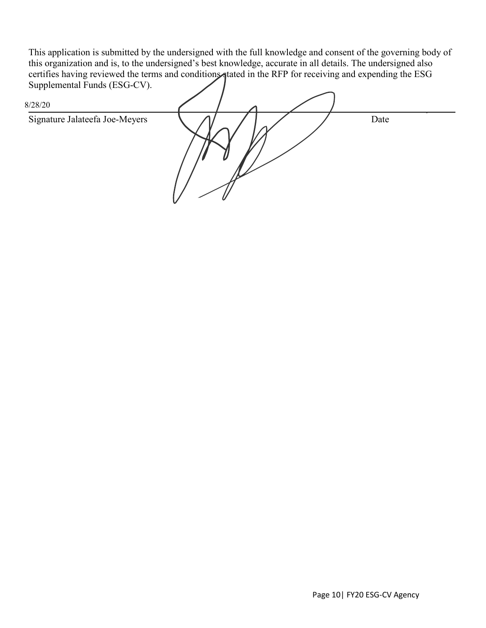This application is submitted by the undersigned with the full knowledge and consent of the governing body of this organization and is, to the undersigned's best knowledge, accurate in all details. The undersigned also certifies having reviewed the terms and conditions tated in the RFP for receiving and expending the ESG Supplemental Funds (ESG-CV).

| $ -$<br>8/28/20                |      |
|--------------------------------|------|
| Signature Jalateefa Joe-Meyers | Date |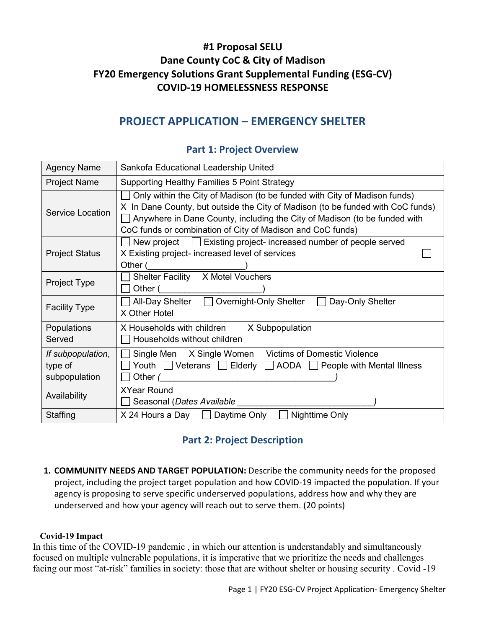# **#1 Proposal SELU Dane County CoC & City of Madison FY20 Emergency Solutions Grant Supplemental Funding (ESG-CV) COVID-19 HOMELESSNESS RESPONSE**

# **PROJECT APPLICATION – EMERGENCY SHELTER**

| <b>Agency Name</b>                            | Sankofa Educational Leadership United                                                                                                                                                                                                                                                                   |  |  |
|-----------------------------------------------|---------------------------------------------------------------------------------------------------------------------------------------------------------------------------------------------------------------------------------------------------------------------------------------------------------|--|--|
| <b>Project Name</b>                           | Supporting Healthy Families 5 Point Strategy                                                                                                                                                                                                                                                            |  |  |
| <b>Service Location</b>                       | Only within the City of Madison (to be funded with City of Madison funds)<br>X In Dane County, but outside the City of Madison (to be funded with CoC funds)<br>Anywhere in Dane County, including the City of Madison (to be funded with<br>CoC funds or combination of City of Madison and CoC funds) |  |  |
| <b>Project Status</b>                         | New project   Existing project- increased number of people served<br>X Existing project- increased level of services<br>Other (                                                                                                                                                                         |  |  |
| Project Type                                  | Shelter Facility X Motel Vouchers<br>Other (                                                                                                                                                                                                                                                            |  |  |
| <b>Facility Type</b>                          | All-Day Shelter   Overnight-Only Shelter<br>Day-Only Shelter<br>X Other Hotel                                                                                                                                                                                                                           |  |  |
| Populations<br>Served                         | X Households with children<br>X Subpopulation<br>Households without children                                                                                                                                                                                                                            |  |  |
| If subpopulation,<br>type of<br>subpopulation | Single Men X Single Women Victims of Domestic Violence<br>Youth $\Box$ Veterans $\Box$ Elderly $\Box$ AODA $\Box$ People with Mental Illness<br>Other (                                                                                                                                                 |  |  |
| Availability                                  | <b>XYear Round</b><br>Seasonal (Dates Available _______                                                                                                                                                                                                                                                 |  |  |
| Staffing                                      | $X$ 24 Hours a Day $\Box$ Daytime Only<br>Nighttime Only<br>$\mathbf{I}$                                                                                                                                                                                                                                |  |  |

### **Part 1: Project Overview**

## **Part 2: Project Description**

**1. COMMUNITY NEEDS AND TARGET POPULATION:** Describe the community needs for the proposed project, including the project target population and how COVID-19 impacted the population. If your agency is proposing to serve specific underserved populations, address how and why they are underserved and how your agency will reach out to serve them. (20 points)

#### **Covid-19 Impact**

In this time of the COVID-19 pandemic , in which our attention is understandably and simultaneously focused on multiple vulnerable populations, it is imperative that we prioritize the needs and challenges facing our most "at-risk" families in society: those that are without shelter or housing security . Covid -19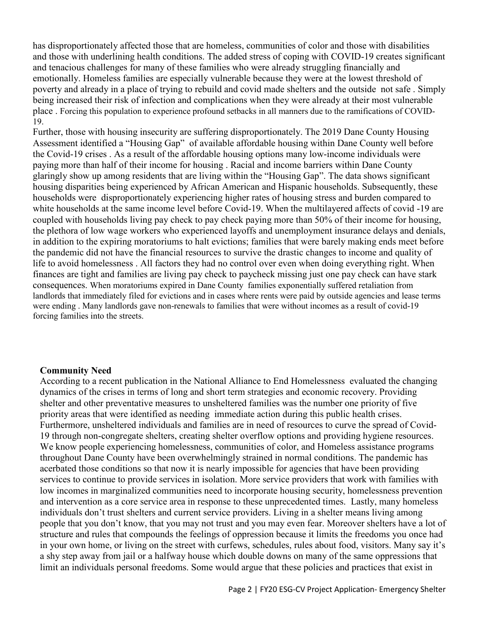has disproportionately affected those that are homeless, communities of color and those with disabilities and those with underlining health conditions. The added stress of coping with COVID-19 creates significant and tenacious challenges for many of these families who were already struggling financially and emotionally. Homeless families are especially vulnerable because they were at the lowest threshold of poverty and already in a place of trying to rebuild and covid made shelters and the outside not safe . Simply being increased their risk of infection and complications when they were already at their most vulnerable place . Forcing this population to experience profound setbacks in all manners due to the ramifications of COVID-19.

Further, those with housing insecurity are suffering disproportionately. The 2019 Dane County Housing Assessment identified a "Housing Gap" of available affordable housing within Dane County well before the Covid-19 crises . As a result of the affordable housing options many low-income individuals were paying more than half of their income for housing . Racial and income barriers within Dane County glaringly show up among residents that are living within the "Housing Gap". The data shows significant housing disparities being experienced by African American and Hispanic households. Subsequently, these households were disproportionately experiencing higher rates of housing stress and burden compared to white households at the same income level before Covid-19. When the multilayered affects of covid-19 are coupled with households living pay check to pay check paying more than 50% of their income for housing, the plethora of low wage workers who experienced layoffs and unemployment insurance delays and denials, in addition to the expiring moratoriums to halt evictions; families that were barely making ends meet before the pandemic did not have the financial resources to survive the drastic changes to income and quality of life to avoid homelessness . All factors they had no control over even when doing everything right. When finances are tight and families are living pay check to paycheck missing just one pay check can have stark consequences. When moratoriums expired in Dane County families exponentially suffered retaliation from landlords that immediately filed for evictions and in cases where rents were paid by outside agencies and lease terms were ending . Many landlords gave non-renewals to families that were without incomes as a result of covid-19 forcing families into the streets.

#### **Community Need**

According to a recent publication in the National Alliance to End Homelessness evaluated the changing dynamics of the crises in terms of long and short term strategies and economic recovery. Providing shelter and other preventative measures to unsheltered families was the number one priority of five priority areas that were identified as needing immediate action during this public health crises. Furthermore, unsheltered individuals and families are in need of resources to curve the spread of Covid-19 through non-congregate shelters, creating shelter overflow options and providing hygiene resources. We know people experiencing homelessness, communities of color, and Homeless assistance programs throughout Dane County have been overwhelmingly strained in normal conditions. The pandemic has acerbated those conditions so that now it is nearly impossible for agencies that have been providing services to continue to provide services in isolation. More service providers that work with families with low incomes in marginalized communities need to incorporate housing security, homelessness prevention and intervention as a core service area in response to these unprecedented times. Lastly, many homeless individuals don't trust shelters and current service providers. Living in a shelter means living among people that you don't know, that you may not trust and you may even fear. Moreover shelters have a lot of structure and rules that compounds the feelings of oppression because it limits the freedoms you once had in your own home, or living on the street with curfews, schedules, rules about food, visitors. Many say it's a shy step away from jail or a halfway house which double downs on many of the same oppressions that limit an individuals personal freedoms. Some would argue that these policies and practices that exist in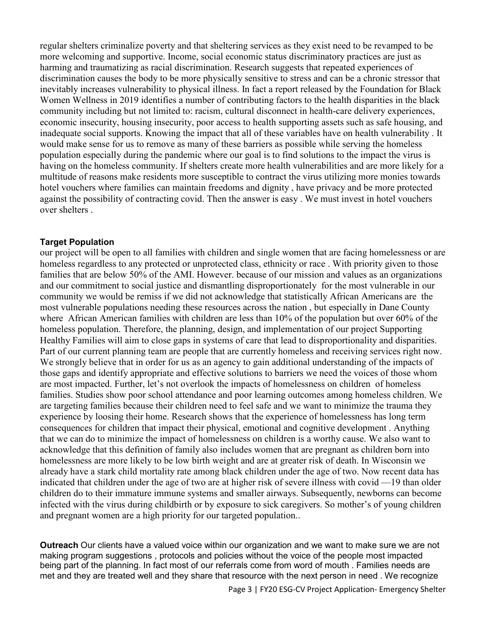regular shelters criminalize poverty and that sheltering services as they exist need to be revamped to be more welcoming and supportive. Income, social economic status discriminatory practices are just as harming and traumatizing as racial discrimination. Research suggests that repeated experiences of discrimination causes the body to be more physically sensitive to stress and can be a chronic stressor that inevitably increases vulnerability to physical illness. In fact a report released by the Foundation for Black Women Wellness in 2019 identifies a number of contributing factors to the health disparities in the black community including but not limited to: racism, cultural disconnect in health-care delivery experiences, economic insecurity, housing insecurity, poor access to health supporting assets such as safe housing, and inadequate social supports. Knowing the impact that all of these variables have on health vulnerability . It would make sense for us to remove as many of these barriers as possible while serving the homeless population especially during the pandemic where our goal is to find solutions to the impact the virus is having on the homeless community. If shelters create more health vulnerabilities and are more likely for a multitude of reasons make residents more susceptible to contract the virus utilizing more monies towards hotel vouchers where families can maintain freedoms and dignity , have privacy and be more protected against the possibility of contracting covid. Then the answer is easy . We must invest in hotel vouchers over shelters .

#### **Target Population**

our project will be open to all families with children and single women that are facing homelessness or are homeless regardless to any protected or unprotected class, ethnicity or race . With priority given to those families that are below 50% of the AMI. However. because of our mission and values as an organizations and our commitment to social justice and dismantling disproportionately for the most vulnerable in our community we would be remiss if we did not acknowledge that statistically African Americans are the most vulnerable populations needing these resources across the nation , but especially in Dane County where African American families with children are less than 10% of the population but over 60% of the homeless population. Therefore, the planning, design, and implementation of our project Supporting Healthy Families will aim to close gaps in systems of care that lead to disproportionality and disparities. Part of our current planning team are people that are currently homeless and receiving services right now. We strongly believe that in order for us as an agency to gain additional understanding of the impacts of those gaps and identify appropriate and effective solutions to barriers we need the voices of those whom are most impacted. Further, let's not overlook the impacts of homelessness on children of homeless families. Studies show poor school attendance and poor learning outcomes among homeless children. We are targeting families because their children need to feel safe and we want to minimize the trauma they experience by loosing their home. Research shows that the experience of homelessness has long term consequences for children that impact their physical, emotional and cognitive development . Anything that we can do to minimize the impact of homelessness on children is a worthy cause. We also want to acknowledge that this definition of family also includes women that are pregnant as children born into homelessness are more likely to be low birth weight and are at greater risk of death. In Wisconsin we already have a stark child mortality rate among black children under the age of two. Now recent data has indicated that children under the age of two are at higher risk of severe illness with covid —19 than older children do to their immature immune systems and smaller airways. Subsequently, newborns can become infected with the virus during childbirth or by exposure to sick caregivers. So mother's of young children and pregnant women are a high priority for our targeted population..

**Outreach** Our clients have a valued voice within our organization and we want to make sure we are not making program suggestions , protocols and policies without the voice of the people most impacted being part of the planning. In fact most of our referrals come from word of mouth . Families needs are met and they are treated well and they share that resource with the next person in need . We recognize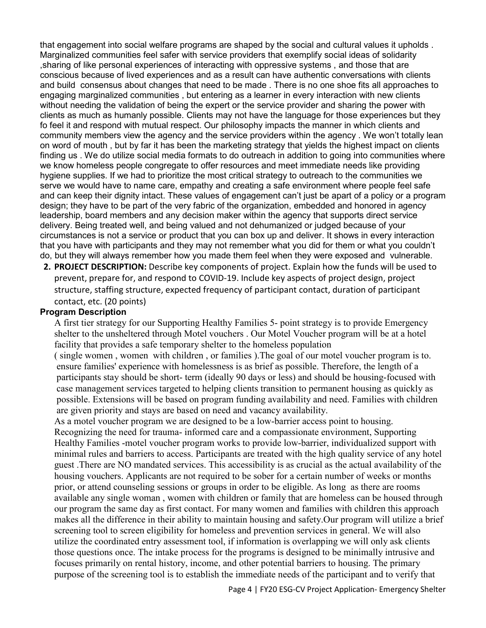that engagement into social welfare programs are shaped by the social and cultural values it upholds . Marginalized communities feel safer with service providers that exemplify social ideas of solidarity ,sharing of like personal experiences of interacting with oppressive systems , and those that are conscious because of lived experiences and as a result can have authentic conversations with clients and build consensus about changes that need to be made . There is no one shoe fits all approaches to engaging marginalized communities , but entering as a learner in every interaction with new clients without needing the validation of being the expert or the service provider and sharing the power with clients as much as humanly possible. Clients may not have the language for those experiences but they fo feel it and respond with mutual respect. Our philosophy impacts the manner in which clients and community members view the agency and the service providers within the agency . We won't totally lean on word of mouth , but by far it has been the marketing strategy that yields the highest impact on clients finding us . We do utilize social media formats to do outreach in addition to going into communities where we know homeless people congregate to offer resources and meet immediate needs like providing hygiene supplies. If we had to prioritize the most critical strategy to outreach to the communities we serve we would have to name care, empathy and creating a safe environment where people feel safe and can keep their dignity intact. These values of engagement can't just be apart of a policy or a program design; they have to be part of the very fabric of the organization, embedded and honored in agency leadership, board members and any decision maker within the agency that supports direct service delivery. Being treated well, and being valued and not dehumanized or judged because of your circumstances is not a service or product that you can box up and deliver. It shows in every interaction that you have with participants and they may not remember what you did for them or what you couldn't do, but they will always remember how you made them feel when they were exposed and vulnerable.

**2. PROJECT DESCRIPTION:** Describe key components of project. Explain how the funds will be used to prevent, prepare for, and respond to COVID-19. Include key aspects of project design, project structure, staffing structure, expected frequency of participant contact, duration of participant contact, etc. (20 points)

#### **Program Description**

A first tier strategy for our Supporting Healthy Families 5- point strategy is to provide Emergency shelter to the unsheltered through Motel vouchers . Our Motel Voucher program will be at a hotel facility that provides a safe temporary shelter to the homeless population

 ( single women , women with children , or families ).The goal of our motel voucher program is to. ensure families' experience with homelessness is as brief as possible. Therefore, the length of a participants stay should be short- term (ideally 90 days or less) and should be housing-focused with case management services targeted to helping clients transition to permanent housing as quickly as possible. Extensions will be based on program funding availability and need. Families with children are given priority and stays are based on need and vacancy availability.

 As a motel voucher program we are designed to be a low-barrier access point to housing. Recognizing the need for trauma- informed care and a compassionate environment, Supporting Healthy Families -motel voucher program works to provide low-barrier, individualized support with minimal rules and barriers to access. Participants are treated with the high quality service of any hotel guest .There are NO mandated services. This accessibility is as crucial as the actual availability of the housing vouchers. Applicants are not required to be sober for a certain number of weeks or months prior, or attend counseling sessions or groups in order to be eligible. As long as there are rooms available any single woman , women with children or family that are homeless can be housed through our program the same day as first contact. For many women and families with children this approach makes all the difference in their ability to maintain housing and safety.Our program will utilize a brief screening tool to screen eligibility for homeless and prevention services in general. We will also utilize the coordinated entry assessment tool, if information is overlapping we will only ask clients those questions once. The intake process for the programs is designed to be minimally intrusive and focuses primarily on rental history, income, and other potential barriers to housing. The primary purpose of the screening tool is to establish the immediate needs of the participant and to verify that

Page 4 | FY20 ESG-CV Project Application- Emergency Shelter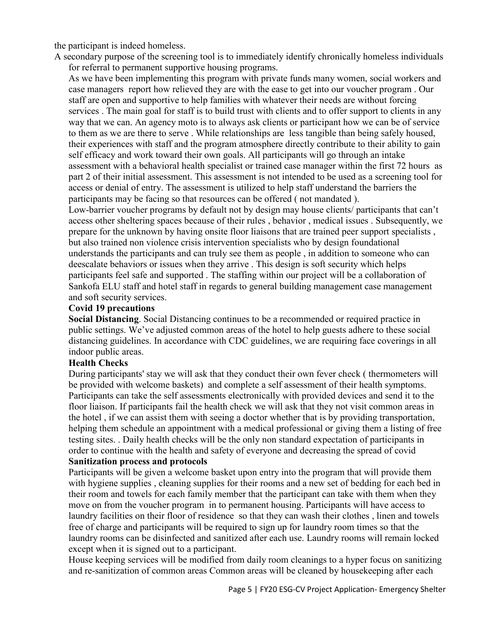the participant is indeed homeless.

 A secondary purpose of the screening tool is to immediately identify chronically homeless individuals for referral to permanent supportive housing programs.

As we have been implementing this program with private funds many women, social workers and case managers report how relieved they are with the ease to get into our voucher program . Our staff are open and supportive to help families with whatever their needs are without forcing services . The main goal for staff is to build trust with clients and to offer support to clients in any way that we can. An agency moto is to always ask clients or participant how we can be of service to them as we are there to serve . While relationships are less tangible than being safely housed, their experiences with staff and the program atmosphere directly contribute to their ability to gain self efficacy and work toward their own goals. All participants will go through an intake assessment with a behavioral health specialist or trained case manager within the first 72 hours as part 2 of their initial assessment. This assessment is not intended to be used as a screening tool for access or denial of entry. The assessment is utilized to help staff understand the barriers the participants may be facing so that resources can be offered ( not mandated ).

Low-barrier voucher programs by default not by design may house clients/ participants that can't access other sheltering spaces because of their rules , behavior , medical issues . Subsequently, we prepare for the unknown by having onsite floor liaisons that are trained peer support specialists , but also trained non violence crisis intervention specialists who by design foundational understands the participants and can truly see them as people , in addition to someone who can deescalate behaviors or issues when they arrive . This design is soft security which helps participants feel safe and supported . The staffing within our project will be a collaboration of Sankofa ELU staff and hotel staff in regards to general building management case management and soft security services.

#### **Covid 19 precautions**

**Social Distancing**. Social Distancing continues to be a recommended or required practice in public settings. We've adjusted common areas of the hotel to help guests adhere to these social distancing guidelines. In accordance with CDC guidelines, we are requiring face coverings in all indoor public areas.

#### **Health Checks**

During participants' stay we will ask that they conduct their own fever check ( thermometers will be provided with welcome baskets) and complete a self assessment of their health symptoms. Participants can take the self assessments electronically with provided devices and send it to the floor liaison. If participants fail the health check we will ask that they not visit common areas in the hotel , if we can assist them with seeing a doctor whether that is by providing transportation, helping them schedule an appointment with a medical professional or giving them a listing of free testing sites. . Daily health checks will be the only non standard expectation of participants in order to continue with the health and safety of everyone and decreasing the spread of covid **Sanitization process and protocols**

Participants will be given a welcome basket upon entry into the program that will provide them with hygiene supplies , cleaning supplies for their rooms and a new set of bedding for each bed in their room and towels for each family member that the participant can take with them when they move on from the voucher program in to permanent housing. Participants will have access to laundry facilities on their floor of residence so that they can wash their clothes , linen and towels free of charge and participants will be required to sign up for laundry room times so that the laundry rooms can be disinfected and sanitized after each use. Laundry rooms will remain locked except when it is signed out to a participant.

House keeping services will be modified from daily room cleanings to a hyper focus on sanitizing and re-sanitization of common areas Common areas will be cleaned by housekeeping after each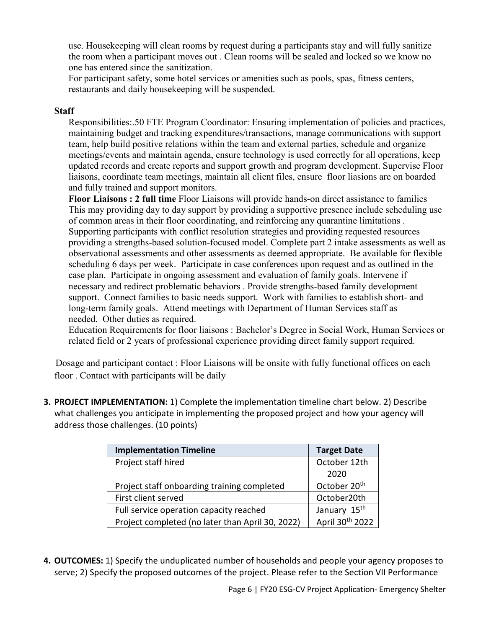use. Housekeeping will clean rooms by request during a participants stay and will fully sanitize the room when a participant moves out . Clean rooms will be sealed and locked so we know no one has entered since the sanitization.

For participant safety, some hotel services or amenities such as pools, spas, fitness centers, restaurants and daily housekeeping will be suspended.

#### **Staff**

Responsibilities:.50 FTE Program Coordinator: Ensuring implementation of policies and practices, maintaining budget and tracking expenditures/transactions, manage communications with support team, help build positive relations within the team and external parties, schedule and organize meetings/events and maintain agenda, ensure technology is used correctly for all operations, keep updated records and create reports and support growth and program development. Supervise Floor liaisons, coordinate team meetings, maintain all client files, ensure floor liasions are on boarded and fully trained and support monitors.

**Floor Liaisons : 2 full time** Floor Liaisons will provide hands-on direct assistance to families This may providing day to day support by providing a supportive presence include scheduling use of common areas in their floor coordinating, and reinforcing any quarantine limitations . Supporting participants with conflict resolution strategies and providing requested resources providing a strengths-based solution-focused model. Complete part 2 intake assessments as well as observational assessments and other assessments as deemed appropriate. Be available for flexible scheduling 6 days per week. Participate in case conferences upon request and as outlined in the case plan. Participate in ongoing assessment and evaluation of family goals. Intervene if necessary and redirect problematic behaviors . Provide strengths-based family development support. Connect families to basic needs support. Work with families to establish short- and long-term family goals. Attend meetings with Department of Human Services staff as needed. Other duties as required.

Education Requirements for floor liaisons : Bachelor's Degree in Social Work, Human Services or related field or 2 years of professional experience providing direct family support required.

 Dosage and participant contact : Floor Liaisons will be onsite with fully functional offices on each floor . Contact with participants will be daily

**3. PROJECT IMPLEMENTATION:** 1) Complete the implementation timeline chart below. 2) Describe what challenges you anticipate in implementing the proposed project and how your agency will address those challenges. (10 points)

| <b>Implementation Timeline</b>                   | <b>Target Date</b>       |
|--------------------------------------------------|--------------------------|
| Project staff hired                              | October 12th             |
|                                                  | 2020                     |
| Project staff onboarding training completed      | October 20 <sup>th</sup> |
| First client served                              | October20th              |
| Full service operation capacity reached          | January 15 <sup>th</sup> |
| Project completed (no later than April 30, 2022) | April 30th 2022          |

**4. OUTCOMES:** 1) Specify the unduplicated number of households and people your agency proposes to serve; 2) Specify the proposed outcomes of the project. Please refer to the Section VII Performance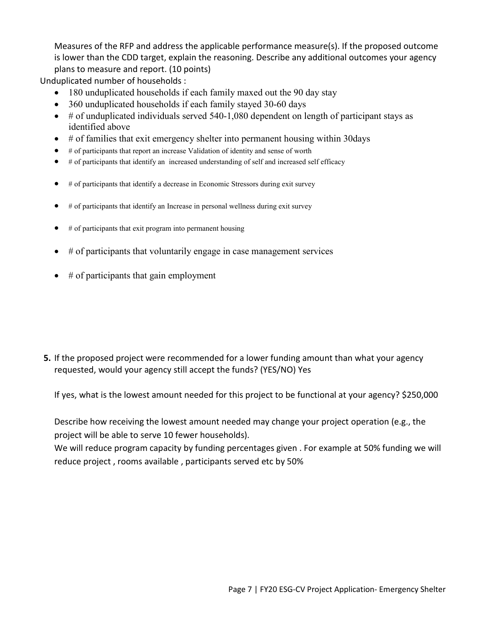Measures of the RFP and address the applicable performance measure(s). If the proposed outcome is lower than the CDD target, explain the reasoning. Describe any additional outcomes your agency plans to measure and report. (10 points)

Unduplicated number of households :

- 180 unduplicated households if each family maxed out the 90 day stay
- 360 unduplicated households if each family stayed 30-60 days
- $\bullet$  # of unduplicated individuals served 540-1,080 dependent on length of participant stays as identified above
- # of families that exit emergency shelter into permanent housing within 30days
- # of participants that report an increase Validation of identity and sense of worth
- # of participants that identify an increased understanding of self and increased self efficacy
- $\bullet$  # of participants that identify a decrease in Economic Stressors during exit survey
- $\bullet$  # of participants that identify an Increase in personal wellness during exit survey
- $#$  of participants that exit program into permanent housing
- $\bullet$  # of participants that voluntarily engage in case management services
- $\bullet$  # of participants that gain employment

**5.** If the proposed project were recommended for a lower funding amount than what your agency requested, would your agency still accept the funds? (YES/NO) Yes

If yes, what is the lowest amount needed for this project to be functional at your agency? \$250,000

Describe how receiving the lowest amount needed may change your project operation (e.g., the project will be able to serve 10 fewer households).

We will reduce program capacity by funding percentages given . For example at 50% funding we will reduce project , rooms available , participants served etc by 50%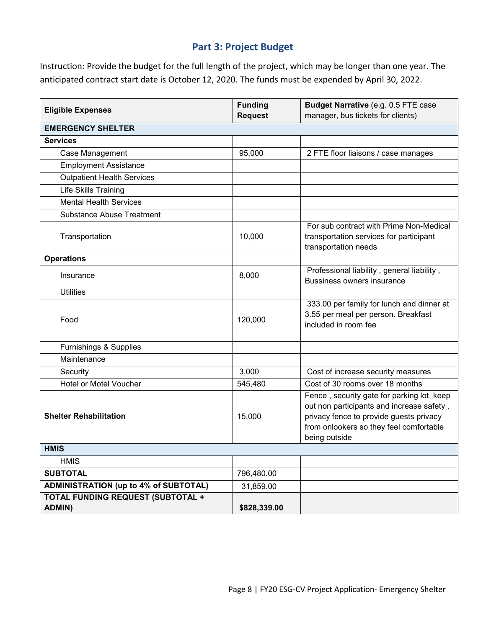## **Part 3: Project Budget**

Instruction: Provide the budget for the full length of the project, which may be longer than one year. The anticipated contract start date is October 12, 2020. The funds must be expended by April 30, 2022.

| <b>Eligible Expenses</b>                           | <b>Funding</b><br><b>Request</b> | Budget Narrative (e.g. 0.5 FTE case<br>manager, bus tickets for clients)                                                                                                                      |
|----------------------------------------------------|----------------------------------|-----------------------------------------------------------------------------------------------------------------------------------------------------------------------------------------------|
| <b>EMERGENCY SHELTER</b>                           |                                  |                                                                                                                                                                                               |
| <b>Services</b>                                    |                                  |                                                                                                                                                                                               |
| Case Management                                    | 95,000                           | 2 FTE floor liaisons / case manages                                                                                                                                                           |
| <b>Employment Assistance</b>                       |                                  |                                                                                                                                                                                               |
| <b>Outpatient Health Services</b>                  |                                  |                                                                                                                                                                                               |
| Life Skills Training                               |                                  |                                                                                                                                                                                               |
| <b>Mental Health Services</b>                      |                                  |                                                                                                                                                                                               |
| <b>Substance Abuse Treatment</b>                   |                                  |                                                                                                                                                                                               |
| Transportation                                     | 10,000                           | For sub contract with Prime Non-Medical<br>transportation services for participant<br>transportation needs                                                                                    |
| <b>Operations</b>                                  |                                  |                                                                                                                                                                                               |
| Insurance                                          | 8,000                            | Professional liability, general liability,<br><b>Bussiness owners insurance</b>                                                                                                               |
| <b>Utilities</b>                                   |                                  |                                                                                                                                                                                               |
| Food                                               | 120,000                          | 333.00 per family for lunch and dinner at<br>3.55 per meal per person. Breakfast<br>included in room fee                                                                                      |
| Furnishings & Supplies                             |                                  |                                                                                                                                                                                               |
| Maintenance                                        |                                  |                                                                                                                                                                                               |
| Security                                           | 3,000                            | Cost of increase security measures                                                                                                                                                            |
| Hotel or Motel Voucher                             | 545,480                          | Cost of 30 rooms over 18 months                                                                                                                                                               |
| <b>Shelter Rehabilitation</b>                      | 15,000                           | Fence, security gate for parking lot keep<br>out non participants and increase safety,<br>privacy fence to provide guests privacy<br>from onlookers so they feel comfortable<br>being outside |
| <b>HMIS</b>                                        |                                  |                                                                                                                                                                                               |
| <b>HMIS</b>                                        |                                  |                                                                                                                                                                                               |
| <b>SUBTOTAL</b>                                    | 796,480.00                       |                                                                                                                                                                                               |
| <b>ADMINISTRATION (up to 4% of SUBTOTAL)</b>       | 31,859.00                        |                                                                                                                                                                                               |
| <b>TOTAL FUNDING REQUEST (SUBTOTAL +</b><br>ADMIN) | \$828,339.00                     |                                                                                                                                                                                               |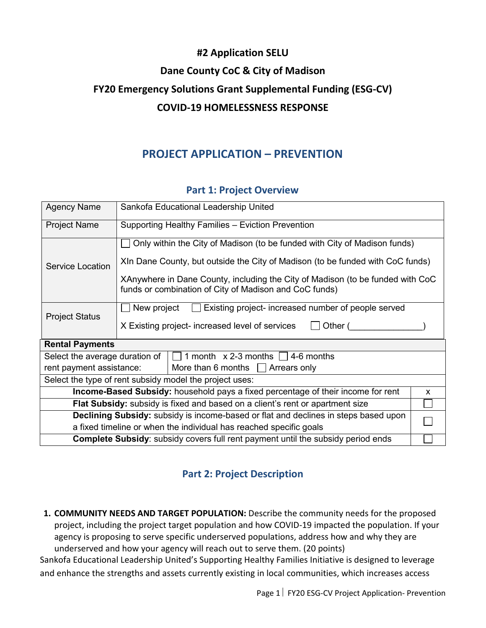# **#2 Application SELU Dane County CoC & City of Madison FY20 Emergency Solutions Grant Supplemental Funding (ESG-CV) COVID-19 HOMELESSNESS RESPONSE**

# **PROJECT APPLICATION – PREVENTION**

### **Part 1: Project Overview**

| <b>Agency Name</b>                                                                                      | Sankofa Educational Leadership United                                                                                                                                                                                                                                                                   |  |  |
|---------------------------------------------------------------------------------------------------------|---------------------------------------------------------------------------------------------------------------------------------------------------------------------------------------------------------------------------------------------------------------------------------------------------------|--|--|
| <b>Project Name</b>                                                                                     | Supporting Healthy Families - Eviction Prevention                                                                                                                                                                                                                                                       |  |  |
| Service Location                                                                                        | Only within the City of Madison (to be funded with City of Madison funds)<br>XIn Dane County, but outside the City of Madison (to be funded with CoC funds)<br>XAnywhere in Dane County, including the City of Madison (to be funded with CoC<br>funds or combination of City of Madison and CoC funds) |  |  |
| <b>Project Status</b>                                                                                   | Existing project- increased number of people served<br>New project<br>X Existing project- increased level of services<br>Other (                                                                                                                                                                        |  |  |
| <b>Rental Payments</b>                                                                                  |                                                                                                                                                                                                                                                                                                         |  |  |
| Select the average duration of $  \Box 1$ month x 2-3 months $\Box 4$ -6 months                         |                                                                                                                                                                                                                                                                                                         |  |  |
| rent payment assistance:<br>More than 6 months $\Box$ Arrears only                                      |                                                                                                                                                                                                                                                                                                         |  |  |
| Select the type of rent subsidy model the project uses:                                                 |                                                                                                                                                                                                                                                                                                         |  |  |
| <b>Income-Based Subsidy:</b> household pays a fixed percentage of their income for rent<br>$\mathsf{x}$ |                                                                                                                                                                                                                                                                                                         |  |  |
| Flat Subsidy: subsidy is fixed and based on a client's rent or apartment size                           |                                                                                                                                                                                                                                                                                                         |  |  |
| Declining Subsidy: subsidy is income-based or flat and declines in steps based upon                     |                                                                                                                                                                                                                                                                                                         |  |  |
| a fixed timeline or when the individual has reached specific goals                                      |                                                                                                                                                                                                                                                                                                         |  |  |
| <b>Complete Subsidy:</b> subsidy covers full rent payment until the subsidy period ends                 |                                                                                                                                                                                                                                                                                                         |  |  |

# **Part 2: Project Description**

**1. COMMUNITY NEEDS AND TARGET POPULATION:** Describe the community needs for the proposed project, including the project target population and how COVID-19 impacted the population. If your agency is proposing to serve specific underserved populations, address how and why they are underserved and how your agency will reach out to serve them. (20 points)

Sankofa Educational Leadership United's Supporting Healthy Families Initiative is designed to leverage and enhance the strengths and assets currently existing in local communities, which increases access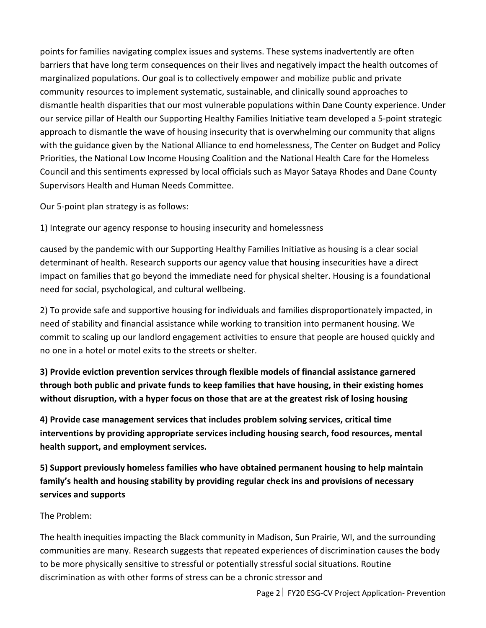points for families navigating complex issues and systems. These systems inadvertently are often barriers that have long term consequences on their lives and negatively impact the health outcomes of marginalized populations. Our goal is to collectively empower and mobilize public and private community resources to implement systematic, sustainable, and clinically sound approaches to dismantle health disparities that our most vulnerable populations within Dane County experience. Under our service pillar of Health our Supporting Healthy Families Initiative team developed a 5-point strategic approach to dismantle the wave of housing insecurity that is overwhelming our community that aligns with the guidance given by the National Alliance to end homelessness, The Center on Budget and Policy Priorities, the National Low Income Housing Coalition and the National Health Care for the Homeless Council and this sentiments expressed by local officials such as Mayor Sataya Rhodes and Dane County Supervisors Health and Human Needs Committee.

Our 5-point plan strategy is as follows:

1) Integrate our agency response to housing insecurity and homelessness

caused by the pandemic with our Supporting Healthy Families Initiative as housing is a clear social determinant of health. Research supports our agency value that housing insecurities have a direct impact on families that go beyond the immediate need for physical shelter. Housing is a foundational need for social, psychological, and cultural wellbeing.

2) To provide safe and supportive housing for individuals and families disproportionately impacted, in need of stability and financial assistance while working to transition into permanent housing. We commit to scaling up our landlord engagement activities to ensure that people are housed quickly and no one in a hotel or motel exits to the streets or shelter.

**3) Provide eviction prevention services through flexible models of financial assistance garnered through both public and private funds to keep families that have housing, in their existing homes without disruption, with a hyper focus on those that are at the greatest risk of losing housing**

**4) Provide case management services that includes problem solving services, critical time interventions by providing appropriate services including housing search, food resources, mental health support, and employment services.**

**5) Support previously homeless families who have obtained permanent housing to help maintain family's health and housing stability by providing regular check ins and provisions of necessary services and supports**

### The Problem:

The health inequities impacting the Black community in Madison, Sun Prairie, WI, and the surrounding communities are many. Research suggests that repeated experiences of discrimination causes the body to be more physically sensitive to stressful or potentially stressful social situations. Routine discrimination as with other forms of stress can be a chronic stressor and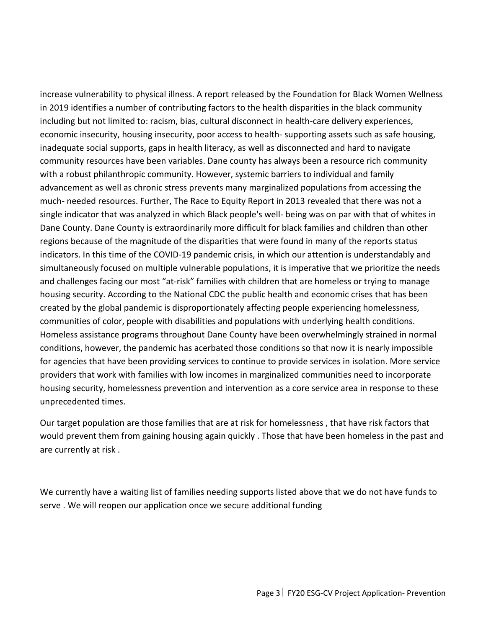increase vulnerability to physical illness. A report released by the Foundation for Black Women Wellness in 2019 identifies a number of contributing factors to the health disparities in the black community including but not limited to: racism, bias, cultural disconnect in health-care delivery experiences, economic insecurity, housing insecurity, poor access to health- supporting assets such as safe housing, inadequate social supports, gaps in health literacy, as well as disconnected and hard to navigate community resources have been variables. Dane county has always been a resource rich community with a robust philanthropic community. However, systemic barriers to individual and family advancement as well as chronic stress prevents many marginalized populations from accessing the much- needed resources. Further, The Race to Equity Report in 2013 revealed that there was not a single indicator that was analyzed in which Black people's well- being was on par with that of whites in Dane County. Dane County is extraordinarily more difficult for black families and children than other regions because of the magnitude of the disparities that were found in many of the reports status indicators. In this time of the COVID-19 pandemic crisis, in which our attention is understandably and simultaneously focused on multiple vulnerable populations, it is imperative that we prioritize the needs and challenges facing our most "at-risk" families with children that are homeless or trying to manage housing security. According to the National CDC the public health and economic crises that has been created by the global pandemic is disproportionately affecting people experiencing homelessness, communities of color, people with disabilities and populations with underlying health conditions. Homeless assistance programs throughout Dane County have been overwhelmingly strained in normal conditions, however, the pandemic has acerbated those conditions so that now it is nearly impossible for agencies that have been providing services to continue to provide services in isolation. More service providers that work with families with low incomes in marginalized communities need to incorporate housing security, homelessness prevention and intervention as a core service area in response to these unprecedented times.

Our target population are those families that are at risk for homelessness , that have risk factors that would prevent them from gaining housing again quickly . Those that have been homeless in the past and are currently at risk .

We currently have a waiting list of families needing supports listed above that we do not have funds to serve . We will reopen our application once we secure additional funding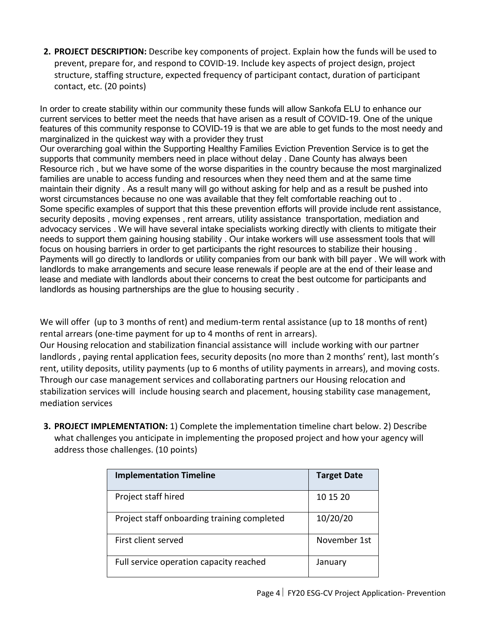**2. PROJECT DESCRIPTION:** Describe key components of project. Explain how the funds will be used to prevent, prepare for, and respond to COVID-19. Include key aspects of project design, project structure, staffing structure, expected frequency of participant contact, duration of participant contact, etc. (20 points)

In order to create stability within our community these funds will allow Sankofa ELU to enhance our current services to better meet the needs that have arisen as a result of COVID-19. One of the unique features of this community response to COVID-19 is that we are able to get funds to the most needy and marginalized in the quickest way with a provider they trust Our overarching goal within the Supporting Healthy Families Eviction Prevention Service is to get the supports that community members need in place without delay . Dane County has always been Resource rich , but we have some of the worse disparities in the country because the most marginalized families are unable to access funding and resources when they need them and at the same time maintain their dignity . As a result many will go without asking for help and as a result be pushed into worst circumstances because no one was available that they felt comfortable reaching out to . Some specific examples of support that this these prevention efforts will provide include rent assistance, security deposits , moving expenses , rent arrears, utility assistance transportation, mediation and advocacy services . We will have several intake specialists working directly with clients to mitigate their needs to support them gaining housing stability . Our intake workers will use assessment tools that will focus on housing barriers in order to get participants the right resources to stabilize their housing . Payments will go directly to landlords or utility companies from our bank with bill payer . We will work with landlords to make arrangements and secure lease renewals if people are at the end of their lease and lease and mediate with landlords about their concerns to creat the best outcome for participants and landlords as housing partnerships are the glue to housing security .

We will offer (up to 3 months of rent) and medium-term rental assistance (up to 18 months of rent) rental arrears (one-time payment for up to 4 months of rent in arrears).

Our Housing relocation and stabilization financial assistance will include working with our partner landlords , paying rental application fees, security deposits (no more than 2 months' rent), last month's rent, utility deposits, utility payments (up to 6 months of utility payments in arrears), and moving costs. Through our case management services and collaborating partners our Housing relocation and stabilization services will include housing search and placement, housing stability case management, mediation services

**3. PROJECT IMPLEMENTATION:** 1) Complete the implementation timeline chart below. 2) Describe what challenges you anticipate in implementing the proposed project and how your agency will address those challenges. (10 points)

| <b>Implementation Timeline</b>              | <b>Target Date</b> |
|---------------------------------------------|--------------------|
| Project staff hired                         | 10 15 20           |
| Project staff onboarding training completed | 10/20/20           |
| First client served                         | November 1st       |
| Full service operation capacity reached     | January            |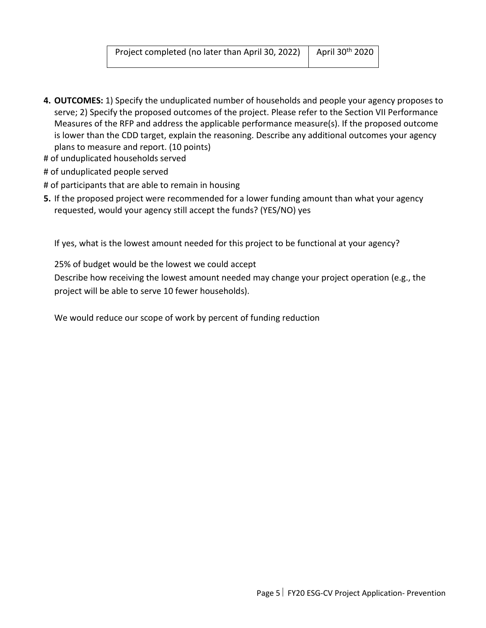- **4. OUTCOMES:** 1) Specify the unduplicated number of households and people your agency proposes to serve; 2) Specify the proposed outcomes of the project. Please refer to the Section VII Performance Measures of the RFP and address the applicable performance measure(s). If the proposed outcome is lower than the CDD target, explain the reasoning. Describe any additional outcomes your agency plans to measure and report. (10 points)
- # of unduplicated households served
- # of unduplicated people served
- # of participants that are able to remain in housing
- **5.** If the proposed project were recommended for a lower funding amount than what your agency requested, would your agency still accept the funds? (YES/NO) yes

If yes, what is the lowest amount needed for this project to be functional at your agency?

25% of budget would be the lowest we could accept

Describe how receiving the lowest amount needed may change your project operation (e.g., the project will be able to serve 10 fewer households).

We would reduce our scope of work by percent of funding reduction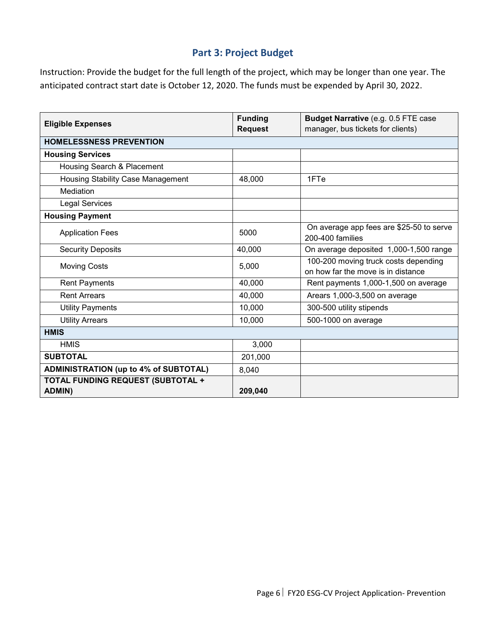### **Part 3: Project Budget**

Instruction: Provide the budget for the full length of the project, which may be longer than one year. The anticipated contract start date is October 12, 2020. The funds must be expended by April 30, 2022.

| <b>Eligible Expenses</b>                     | <b>Funding</b> | Budget Narrative (e.g. 0.5 FTE case      |
|----------------------------------------------|----------------|------------------------------------------|
|                                              | <b>Request</b> | manager, bus tickets for clients)        |
| <b>HOMELESSNESS PREVENTION</b>               |                |                                          |
| <b>Housing Services</b>                      |                |                                          |
| Housing Search & Placement                   |                |                                          |
| Housing Stability Case Management            | 48,000         | 1FTe                                     |
| Mediation                                    |                |                                          |
| <b>Legal Services</b>                        |                |                                          |
| <b>Housing Payment</b>                       |                |                                          |
| <b>Application Fees</b>                      | 5000           | On average app fees are \$25-50 to serve |
|                                              |                | 200-400 families                         |
| <b>Security Deposits</b>                     | 40,000         | On average deposited 1,000-1,500 range   |
| <b>Moving Costs</b>                          | 5,000          | 100-200 moving truck costs depending     |
|                                              |                | on how far the move is in distance       |
| <b>Rent Payments</b>                         | 40,000         | Rent payments 1,000-1,500 on average     |
| <b>Rent Arrears</b>                          | 40,000         | Arears 1,000-3,500 on average            |
| <b>Utility Payments</b>                      | 10,000         | 300-500 utility stipends                 |
| <b>Utility Arrears</b>                       | 10,000         | 500-1000 on average                      |
| <b>HMIS</b>                                  |                |                                          |
| <b>HMIS</b>                                  | 3,000          |                                          |
| <b>SUBTOTAL</b>                              | 201,000        |                                          |
| <b>ADMINISTRATION (up to 4% of SUBTOTAL)</b> | 8,040          |                                          |
| <b>TOTAL FUNDING REQUEST (SUBTOTAL +</b>     |                |                                          |
| <b>ADMIN)</b>                                | 209,040        |                                          |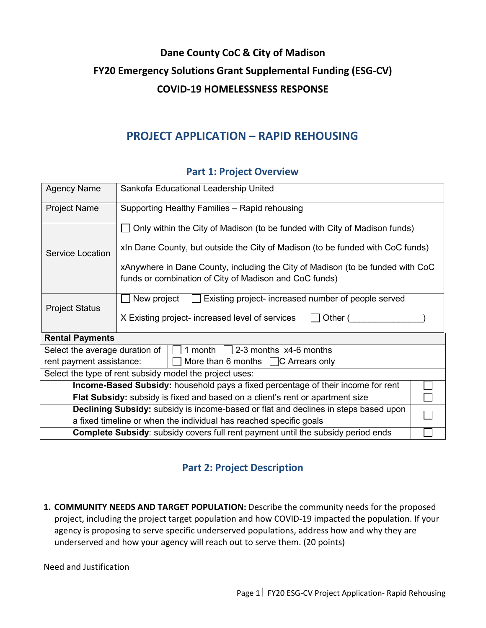# **Dane County CoC & City of Madison FY20 Emergency Solutions Grant Supplemental Funding (ESG-CV) COVID-19 HOMELESSNESS RESPONSE**

# **PROJECT APPLICATION – RAPID REHOUSING**

| <b>Agency Name</b>                                                                      | Sankofa Educational Leadership United                                                                                                    |  |  |
|-----------------------------------------------------------------------------------------|------------------------------------------------------------------------------------------------------------------------------------------|--|--|
| <b>Project Name</b>                                                                     | Supporting Healthy Families - Rapid rehousing                                                                                            |  |  |
|                                                                                         | Only within the City of Madison (to be funded with City of Madison funds)                                                                |  |  |
| Service Location                                                                        | xIn Dane County, but outside the City of Madison (to be funded with CoC funds)                                                           |  |  |
|                                                                                         | xAnywhere in Dane County, including the City of Madison (to be funded with CoC<br>funds or combination of City of Madison and CoC funds) |  |  |
|                                                                                         | Existing project- increased number of people served<br>New project                                                                       |  |  |
| <b>Project Status</b>                                                                   | X Existing project- increased level of services<br>Other (                                                                               |  |  |
| <b>Rental Payments</b>                                                                  |                                                                                                                                          |  |  |
| Select the average duration of<br>1 month $\Box$ 2-3 months x4-6 months                 |                                                                                                                                          |  |  |
| More than 6 months $\Box$ C Arrears only<br>rent payment assistance:                    |                                                                                                                                          |  |  |
| Select the type of rent subsidy model the project uses:                                 |                                                                                                                                          |  |  |
| <b>Income-Based Subsidy:</b> household pays a fixed percentage of their income for rent |                                                                                                                                          |  |  |
| Flat Subsidy: subsidy is fixed and based on a client's rent or apartment size           |                                                                                                                                          |  |  |
| Declining Subsidy: subsidy is income-based or flat and declines in steps based upon     |                                                                                                                                          |  |  |
| a fixed timeline or when the individual has reached specific goals                      |                                                                                                                                          |  |  |
| <b>Complete Subsidy:</b> subsidy covers full rent payment until the subsidy period ends |                                                                                                                                          |  |  |

### **Part 1: Project Overview**

## **Part 2: Project Description**

**1. COMMUNITY NEEDS AND TARGET POPULATION:** Describe the community needs for the proposed project, including the project target population and how COVID-19 impacted the population. If your agency is proposing to serve specific underserved populations, address how and why they are underserved and how your agency will reach out to serve them. (20 points)

Need and Justification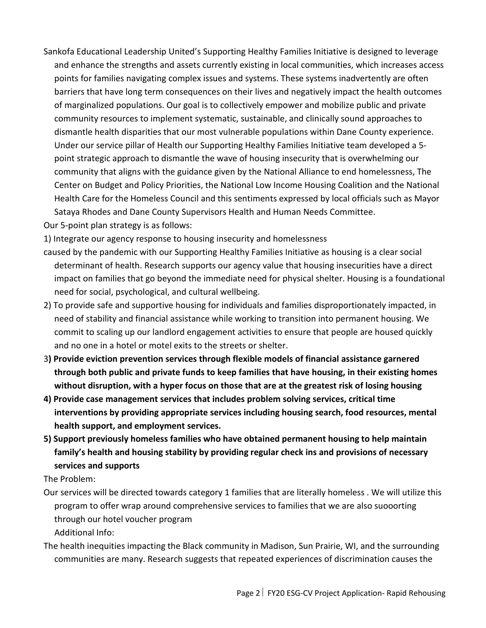- Sankofa Educational Leadership United's Supporting Healthy Families Initiative is designed to leverage and enhance the strengths and assets currently existing in local communities, which increases access points for families navigating complex issues and systems. These systems inadvertently are often barriers that have long term consequences on their lives and negatively impact the health outcomes of marginalized populations. Our goal is to collectively empower and mobilize public and private community resources to implement systematic, sustainable, and clinically sound approaches to dismantle health disparities that our most vulnerable populations within Dane County experience. Under our service pillar of Health our Supporting Healthy Families Initiative team developed a 5 point strategic approach to dismantle the wave of housing insecurity that is overwhelming our community that aligns with the guidance given by the National Alliance to end homelessness, The Center on Budget and Policy Priorities, the National Low Income Housing Coalition and the National Health Care for the Homeless Council and this sentiments expressed by local officials such as Mayor Sataya Rhodes and Dane County Supervisors Health and Human Needs Committee.
- Our 5-point plan strategy is as follows:

1) Integrate our agency response to housing insecurity and homelessness

- caused by the pandemic with our Supporting Healthy Families Initiative as housing is a clear social determinant of health. Research supports our agency value that housing insecurities have a direct impact on families that go beyond the immediate need for physical shelter. Housing is a foundational need for social, psychological, and cultural wellbeing.
- 2) To provide safe and supportive housing for individuals and families disproportionately impacted, in need of stability and financial assistance while working to transition into permanent housing. We commit to scaling up our landlord engagement activities to ensure that people are housed quickly and no one in a hotel or motel exits to the streets or shelter.
- 3**) Provide eviction prevention services through flexible models of financial assistance garnered through both public and private funds to keep families that have housing, in their existing homes without disruption, with a hyper focus on those that are at the greatest risk of losing housing**
- **4) Provide case management services that includes problem solving services, critical time interventions by providing appropriate services including housing search, food resources, mental health support, and employment services.**
- **5) Support previously homeless families who have obtained permanent housing to help maintain family's health and housing stability by providing regular check ins and provisions of necessary services and supports**

The Problem:

- Our services will be directed towards category 1 families that are literally homeless . We will utilize this program to offer wrap around comprehensive services to families that we are also suooorting through our hotel voucher program Additional Info:
- The health inequities impacting the Black community in Madison, Sun Prairie, WI, and the surrounding communities are many. Research suggests that repeated experiences of discrimination causes the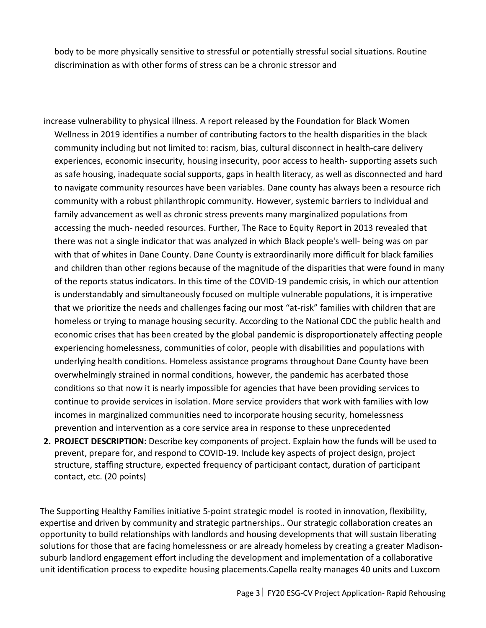body to be more physically sensitive to stressful or potentially stressful social situations. Routine discrimination as with other forms of stress can be a chronic stressor and

- increase vulnerability to physical illness. A report released by the Foundation for Black Women Wellness in 2019 identifies a number of contributing factors to the health disparities in the black community including but not limited to: racism, bias, cultural disconnect in health-care delivery experiences, economic insecurity, housing insecurity, poor access to health- supporting assets such as safe housing, inadequate social supports, gaps in health literacy, as well as disconnected and hard to navigate community resources have been variables. Dane county has always been a resource rich community with a robust philanthropic community. However, systemic barriers to individual and family advancement as well as chronic stress prevents many marginalized populations from accessing the much- needed resources. Further, The Race to Equity Report in 2013 revealed that there was not a single indicator that was analyzed in which Black people's well- being was on par with that of whites in Dane County. Dane County is extraordinarily more difficult for black families and children than other regions because of the magnitude of the disparities that were found in many of the reports status indicators. In this time of the COVID-19 pandemic crisis, in which our attention is understandably and simultaneously focused on multiple vulnerable populations, it is imperative that we prioritize the needs and challenges facing our most "at-risk" families with children that are homeless or trying to manage housing security. According to the National CDC the public health and economic crises that has been created by the global pandemic is disproportionately affecting people experiencing homelessness, communities of color, people with disabilities and populations with underlying health conditions. Homeless assistance programs throughout Dane County have been overwhelmingly strained in normal conditions, however, the pandemic has acerbated those conditions so that now it is nearly impossible for agencies that have been providing services to continue to provide services in isolation. More service providers that work with families with low incomes in marginalized communities need to incorporate housing security, homelessness prevention and intervention as a core service area in response to these unprecedented
- **2. PROJECT DESCRIPTION:** Describe key components of project. Explain how the funds will be used to prevent, prepare for, and respond to COVID-19. Include key aspects of project design, project structure, staffing structure, expected frequency of participant contact, duration of participant contact, etc. (20 points)

The Supporting Healthy Families initiative 5-point strategic model is rooted in innovation, flexibility, expertise and driven by community and strategic partnerships.. Our strategic collaboration creates an opportunity to build relationships with landlords and housing developments that will sustain liberating solutions for those that are facing homelessness or are already homeless by creating a greater Madisonsuburb landlord engagement effort including the development and implementation of a collaborative unit identification process to expedite housing placements.Capella realty manages 40 units and Luxcom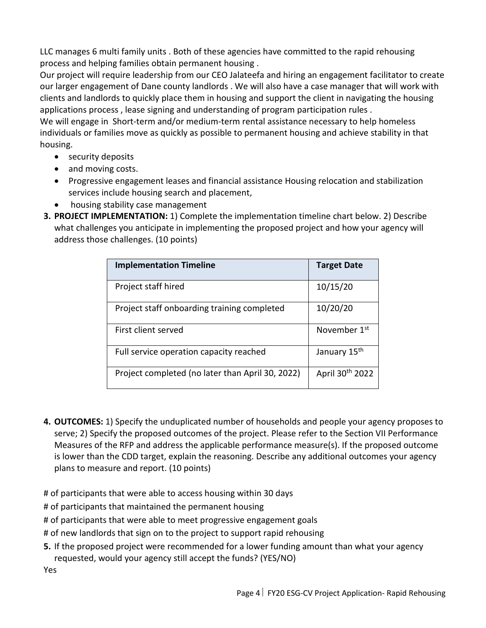LLC manages 6 multi family units . Both of these agencies have committed to the rapid rehousing process and helping families obtain permanent housing .

Our project will require leadership from our CEO Jalateefa and hiring an engagement facilitator to create our larger engagement of Dane county landlords . We will also have a case manager that will work with clients and landlords to quickly place them in housing and support the client in navigating the housing applications process , lease signing and understanding of program participation rules .

We will engage in Short-term and/or medium-term rental assistance necessary to help homeless individuals or families move as quickly as possible to permanent housing and achieve stability in that housing.

- security deposits
- and moving costs.
- Progressive engagement leases and financial assistance Housing relocation and stabilization services include housing search and placement,
- housing stability case management
- **3. PROJECT IMPLEMENTATION:** 1) Complete the implementation timeline chart below. 2) Describe what challenges you anticipate in implementing the proposed project and how your agency will address those challenges. (10 points)

| <b>Implementation Timeline</b>                   | <b>Target Date</b>       |
|--------------------------------------------------|--------------------------|
| Project staff hired                              | 10/15/20                 |
| Project staff onboarding training completed      | 10/20/20                 |
| First client served                              | November 1 <sup>st</sup> |
| Full service operation capacity reached          | January 15 <sup>th</sup> |
| Project completed (no later than April 30, 2022) | April 30th 2022          |

**4. OUTCOMES:** 1) Specify the unduplicated number of households and people your agency proposes to serve; 2) Specify the proposed outcomes of the project. Please refer to the Section VII Performance Measures of the RFP and address the applicable performance measure(s). If the proposed outcome is lower than the CDD target, explain the reasoning. Describe any additional outcomes your agency plans to measure and report. (10 points)

# of participants that were able to access housing within 30 days

# of participants that maintained the permanent housing

# of participants that were able to meet progressive engagement goals

# of new landlords that sign on to the project to support rapid rehousing

**5.** If the proposed project were recommended for a lower funding amount than what your agency requested, would your agency still accept the funds? (YES/NO)

Yes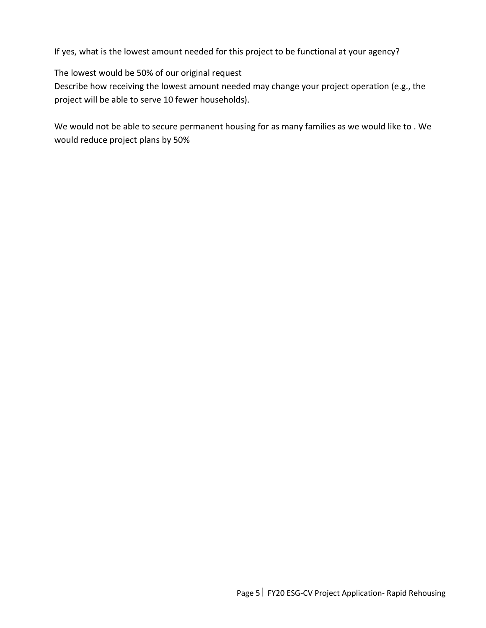If yes, what is the lowest amount needed for this project to be functional at your agency?

The lowest would be 50% of our original request

Describe how receiving the lowest amount needed may change your project operation (e.g., the project will be able to serve 10 fewer households).

We would not be able to secure permanent housing for as many families as we would like to . We would reduce project plans by 50%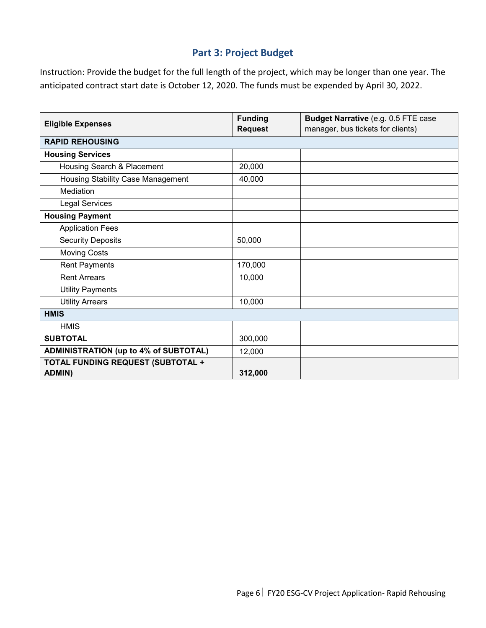### **Part 3: Project Budget**

Instruction: Provide the budget for the full length of the project, which may be longer than one year. The anticipated contract start date is October 12, 2020. The funds must be expended by April 30, 2022.

|                                                           | <b>Funding</b> | Budget Narrative (e.g. 0.5 FTE case |
|-----------------------------------------------------------|----------------|-------------------------------------|
| <b>Eligible Expenses</b>                                  | <b>Request</b> | manager, bus tickets for clients)   |
| <b>RAPID REHOUSING</b>                                    |                |                                     |
| <b>Housing Services</b>                                   |                |                                     |
| Housing Search & Placement                                | 20,000         |                                     |
| <b>Housing Stability Case Management</b>                  | 40,000         |                                     |
| Mediation                                                 |                |                                     |
| <b>Legal Services</b>                                     |                |                                     |
| <b>Housing Payment</b>                                    |                |                                     |
| <b>Application Fees</b>                                   |                |                                     |
| <b>Security Deposits</b>                                  | 50,000         |                                     |
| <b>Moving Costs</b>                                       |                |                                     |
| <b>Rent Payments</b>                                      | 170,000        |                                     |
| <b>Rent Arrears</b>                                       | 10,000         |                                     |
| <b>Utility Payments</b>                                   |                |                                     |
| <b>Utility Arrears</b>                                    | 10,000         |                                     |
| <b>HMIS</b>                                               |                |                                     |
| <b>HMIS</b>                                               |                |                                     |
| <b>SUBTOTAL</b>                                           | 300,000        |                                     |
| <b>ADMINISTRATION (up to 4% of SUBTOTAL)</b>              | 12,000         |                                     |
| <b>TOTAL FUNDING REQUEST (SUBTOTAL +</b><br><b>ADMIN)</b> | 312,000        |                                     |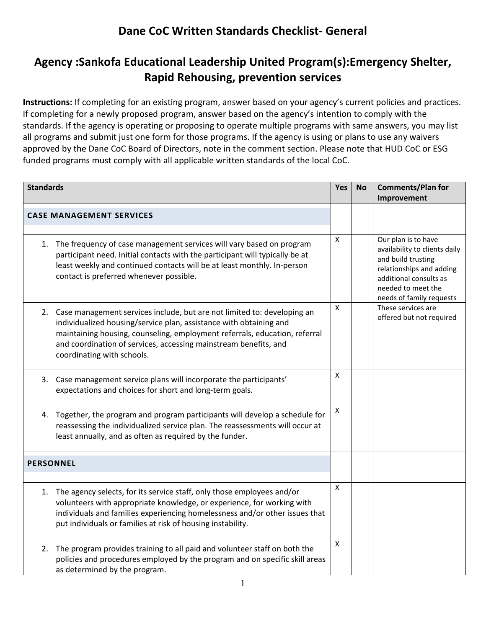# **Agency :Sankofa Educational Leadership United Program(s):Emergency Shelter, Rapid Rehousing, prevention services**

**Instructions:** If completing for an existing program, answer based on your agency's current policies and practices. If completing for a newly proposed program, answer based on the agency's intention to comply with the standards. If the agency is operating or proposing to operate multiple programs with same answers, you may list all programs and submit just one form for those programs. If the agency is using or plans to use any waivers approved by the Dane CoC Board of Directors, note in the comment section. Please note that HUD CoC or ESG funded programs must comply with all applicable written standards of the local CoC.

| <b>Standards</b> |                                                                                                                                                                                                                                                                                                                                  | Yes                | <b>No</b> | <b>Comments/Plan for</b>                                                                                                                                                           |
|------------------|----------------------------------------------------------------------------------------------------------------------------------------------------------------------------------------------------------------------------------------------------------------------------------------------------------------------------------|--------------------|-----------|------------------------------------------------------------------------------------------------------------------------------------------------------------------------------------|
|                  |                                                                                                                                                                                                                                                                                                                                  |                    |           | Improvement                                                                                                                                                                        |
|                  | <b>CASE MANAGEMENT SERVICES</b>                                                                                                                                                                                                                                                                                                  |                    |           |                                                                                                                                                                                    |
|                  | 1. The frequency of case management services will vary based on program<br>participant need. Initial contacts with the participant will typically be at<br>least weekly and continued contacts will be at least monthly. In-person<br>contact is preferred whenever possible.                                                    | X                  |           | Our plan is to have<br>availability to clients daily<br>and build trusting<br>relationships and adding<br>additional consults as<br>needed to meet the<br>needs of family requests |
|                  | 2. Case management services include, but are not limited to: developing an<br>individualized housing/service plan, assistance with obtaining and<br>maintaining housing, counseling, employment referrals, education, referral<br>and coordination of services, accessing mainstream benefits, and<br>coordinating with schools. | X                  |           | These services are<br>offered but not required                                                                                                                                     |
|                  | 3. Case management service plans will incorporate the participants'<br>expectations and choices for short and long-term goals.                                                                                                                                                                                                   | X                  |           |                                                                                                                                                                                    |
|                  | 4. Together, the program and program participants will develop a schedule for<br>reassessing the individualized service plan. The reassessments will occur at<br>least annually, and as often as required by the funder.                                                                                                         | $\pmb{\mathsf{X}}$ |           |                                                                                                                                                                                    |
| <b>PERSONNEL</b> |                                                                                                                                                                                                                                                                                                                                  |                    |           |                                                                                                                                                                                    |
|                  | 1. The agency selects, for its service staff, only those employees and/or<br>volunteers with appropriate knowledge, or experience, for working with<br>individuals and families experiencing homelessness and/or other issues that<br>put individuals or families at risk of housing instability.                                | X                  |           |                                                                                                                                                                                    |
|                  | 2. The program provides training to all paid and volunteer staff on both the<br>policies and procedures employed by the program and on specific skill areas<br>as determined by the program.                                                                                                                                     | X                  |           |                                                                                                                                                                                    |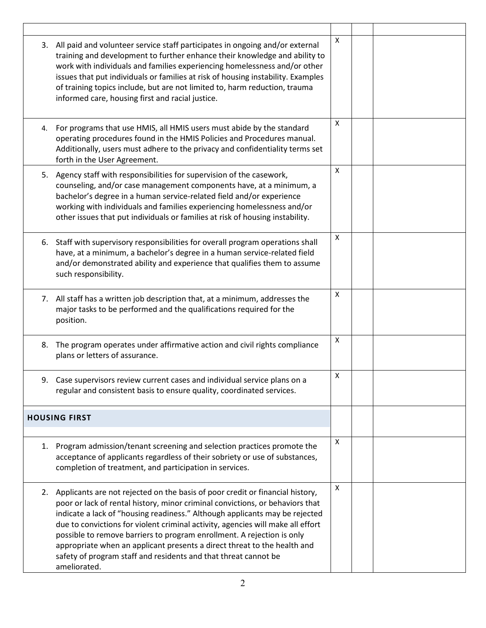| 3. All paid and volunteer service staff participates in ongoing and/or external<br>training and development to further enhance their knowledge and ability to<br>work with individuals and families experiencing homelessness and/or other<br>issues that put individuals or families at risk of housing instability. Examples<br>of training topics include, but are not limited to, harm reduction, trauma<br>informed care, housing first and racial justice.                                                                                                             | X |  |
|------------------------------------------------------------------------------------------------------------------------------------------------------------------------------------------------------------------------------------------------------------------------------------------------------------------------------------------------------------------------------------------------------------------------------------------------------------------------------------------------------------------------------------------------------------------------------|---|--|
| 4. For programs that use HMIS, all HMIS users must abide by the standard<br>operating procedures found in the HMIS Policies and Procedures manual.<br>Additionally, users must adhere to the privacy and confidentiality terms set<br>forth in the User Agreement.                                                                                                                                                                                                                                                                                                           | X |  |
| 5. Agency staff with responsibilities for supervision of the casework,<br>counseling, and/or case management components have, at a minimum, a<br>bachelor's degree in a human service-related field and/or experience<br>working with individuals and families experiencing homelessness and/or<br>other issues that put individuals or families at risk of housing instability.                                                                                                                                                                                             | X |  |
| 6. Staff with supervisory responsibilities for overall program operations shall<br>have, at a minimum, a bachelor's degree in a human service-related field<br>and/or demonstrated ability and experience that qualifies them to assume<br>such responsibility.                                                                                                                                                                                                                                                                                                              | X |  |
| 7. All staff has a written job description that, at a minimum, addresses the<br>major tasks to be performed and the qualifications required for the<br>position.                                                                                                                                                                                                                                                                                                                                                                                                             | X |  |
| 8. The program operates under affirmative action and civil rights compliance<br>plans or letters of assurance.                                                                                                                                                                                                                                                                                                                                                                                                                                                               | X |  |
| 9. Case supervisors review current cases and individual service plans on a<br>regular and consistent basis to ensure quality, coordinated services.                                                                                                                                                                                                                                                                                                                                                                                                                          | X |  |
| <b>HOUSING FIRST</b>                                                                                                                                                                                                                                                                                                                                                                                                                                                                                                                                                         |   |  |
| 1. Program admission/tenant screening and selection practices promote the<br>acceptance of applicants regardless of their sobriety or use of substances,<br>completion of treatment, and participation in services.                                                                                                                                                                                                                                                                                                                                                          | X |  |
| 2. Applicants are not rejected on the basis of poor credit or financial history,<br>poor or lack of rental history, minor criminal convictions, or behaviors that<br>indicate a lack of "housing readiness." Although applicants may be rejected<br>due to convictions for violent criminal activity, agencies will make all effort<br>possible to remove barriers to program enrollment. A rejection is only<br>appropriate when an applicant presents a direct threat to the health and<br>safety of program staff and residents and that threat cannot be<br>ameliorated. | X |  |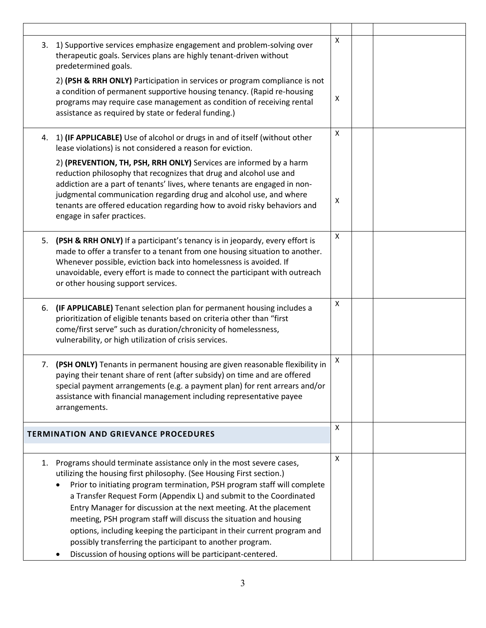| 3. | 1) Supportive services emphasize engagement and problem-solving over<br>therapeutic goals. Services plans are highly tenant-driven without<br>predetermined goals.<br>2) (PSH & RRH ONLY) Participation in services or program compliance is not                                                                                                                                                                                                                                                                                                                                                                                                | Χ |  |
|----|-------------------------------------------------------------------------------------------------------------------------------------------------------------------------------------------------------------------------------------------------------------------------------------------------------------------------------------------------------------------------------------------------------------------------------------------------------------------------------------------------------------------------------------------------------------------------------------------------------------------------------------------------|---|--|
|    | a condition of permanent supportive housing tenancy. (Rapid re-housing<br>programs may require case management as condition of receiving rental<br>assistance as required by state or federal funding.)                                                                                                                                                                                                                                                                                                                                                                                                                                         | X |  |
|    | 4. 1) (IF APPLICABLE) Use of alcohol or drugs in and of itself (without other<br>lease violations) is not considered a reason for eviction.                                                                                                                                                                                                                                                                                                                                                                                                                                                                                                     | X |  |
|    | 2) (PREVENTION, TH, PSH, RRH ONLY) Services are informed by a harm<br>reduction philosophy that recognizes that drug and alcohol use and<br>addiction are a part of tenants' lives, where tenants are engaged in non-<br>judgmental communication regarding drug and alcohol use, and where<br>tenants are offered education regarding how to avoid risky behaviors and<br>engage in safer practices.                                                                                                                                                                                                                                           | X |  |
| 5. | (PSH & RRH ONLY) If a participant's tenancy is in jeopardy, every effort is<br>made to offer a transfer to a tenant from one housing situation to another.<br>Whenever possible, eviction back into homelessness is avoided. If<br>unavoidable, every effort is made to connect the participant with outreach<br>or other housing support services.                                                                                                                                                                                                                                                                                             | X |  |
|    | 6. (IF APPLICABLE) Tenant selection plan for permanent housing includes a<br>prioritization of eligible tenants based on criteria other than "first<br>come/first serve" such as duration/chronicity of homelessness,<br>vulnerability, or high utilization of crisis services.                                                                                                                                                                                                                                                                                                                                                                 | X |  |
| 7. | (PSH ONLY) Tenants in permanent housing are given reasonable flexibility in<br>paying their tenant share of rent (after subsidy) on time and are offered<br>special payment arrangements (e.g. a payment plan) for rent arrears and/or<br>assistance with financial management including representative payee<br>arrangements.                                                                                                                                                                                                                                                                                                                  | X |  |
|    | <b>TERMINATION AND GRIEVANCE PROCEDURES</b>                                                                                                                                                                                                                                                                                                                                                                                                                                                                                                                                                                                                     | X |  |
| 1. | Programs should terminate assistance only in the most severe cases,<br>utilizing the housing first philosophy. (See Housing First section.)<br>Prior to initiating program termination, PSH program staff will complete<br>a Transfer Request Form (Appendix L) and submit to the Coordinated<br>Entry Manager for discussion at the next meeting. At the placement<br>meeting, PSH program staff will discuss the situation and housing<br>options, including keeping the participant in their current program and<br>possibly transferring the participant to another program.<br>Discussion of housing options will be participant-centered. | X |  |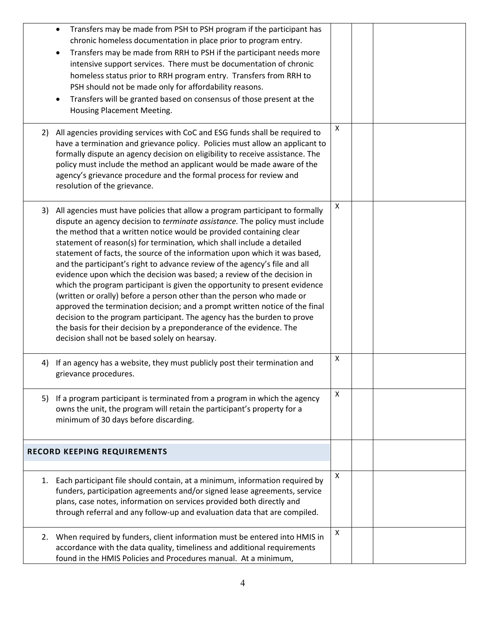|    | Transfers may be made from PSH to PSH program if the participant has<br>chronic homeless documentation in place prior to program entry.<br>Transfers may be made from RRH to PSH if the participant needs more<br>intensive support services. There must be documentation of chronic<br>homeless status prior to RRH program entry. Transfers from RRH to<br>PSH should not be made only for affordability reasons.<br>Transfers will be granted based on consensus of those present at the<br>Housing Placement Meeting.                                                                                                                                                                                                                                                                                                                                                                                                                                                                         |   |  |  |
|----|---------------------------------------------------------------------------------------------------------------------------------------------------------------------------------------------------------------------------------------------------------------------------------------------------------------------------------------------------------------------------------------------------------------------------------------------------------------------------------------------------------------------------------------------------------------------------------------------------------------------------------------------------------------------------------------------------------------------------------------------------------------------------------------------------------------------------------------------------------------------------------------------------------------------------------------------------------------------------------------------------|---|--|--|
|    | 2) All agencies providing services with CoC and ESG funds shall be required to<br>have a termination and grievance policy. Policies must allow an applicant to<br>formally dispute an agency decision on eligibility to receive assistance. The<br>policy must include the method an applicant would be made aware of the<br>agency's grievance procedure and the formal process for review and<br>resolution of the grievance.                                                                                                                                                                                                                                                                                                                                                                                                                                                                                                                                                                   | X |  |  |
|    | 3) All agencies must have policies that allow a program participant to formally<br>dispute an agency decision to terminate assistance. The policy must include<br>the method that a written notice would be provided containing clear<br>statement of reason(s) for termination, which shall include a detailed<br>statement of facts, the source of the information upon which it was based,<br>and the participant's right to advance review of the agency's file and all<br>evidence upon which the decision was based; a review of the decision in<br>which the program participant is given the opportunity to present evidence<br>(written or orally) before a person other than the person who made or<br>approved the termination decision; and a prompt written notice of the final<br>decision to the program participant. The agency has the burden to prove<br>the basis for their decision by a preponderance of the evidence. The<br>decision shall not be based solely on hearsay. | X |  |  |
| 4) | If an agency has a website, they must publicly post their termination and<br>grievance procedures.                                                                                                                                                                                                                                                                                                                                                                                                                                                                                                                                                                                                                                                                                                                                                                                                                                                                                                | X |  |  |
|    | 5) If a program participant is terminated from a program in which the agency<br>owns the unit, the program will retain the participant's property for a<br>minimum of 30 days before discarding.                                                                                                                                                                                                                                                                                                                                                                                                                                                                                                                                                                                                                                                                                                                                                                                                  | X |  |  |
|    | <b>RECORD KEEPING REQUIREMENTS</b>                                                                                                                                                                                                                                                                                                                                                                                                                                                                                                                                                                                                                                                                                                                                                                                                                                                                                                                                                                |   |  |  |
|    | 1. Each participant file should contain, at a minimum, information required by<br>funders, participation agreements and/or signed lease agreements, service<br>plans, case notes, information on services provided both directly and<br>through referral and any follow-up and evaluation data that are compiled.                                                                                                                                                                                                                                                                                                                                                                                                                                                                                                                                                                                                                                                                                 | Χ |  |  |
|    | 2. When required by funders, client information must be entered into HMIS in<br>accordance with the data quality, timeliness and additional requirements<br>found in the HMIS Policies and Procedures manual. At a minimum,                                                                                                                                                                                                                                                                                                                                                                                                                                                                                                                                                                                                                                                                                                                                                                       | X |  |  |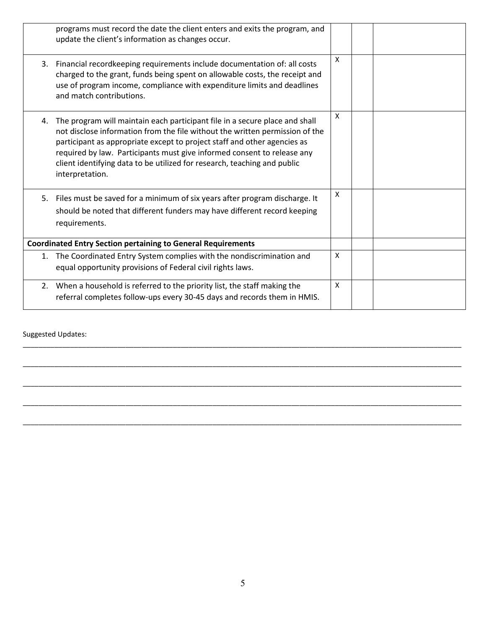|    | programs must record the date the client enters and exits the program, and<br>update the client's information as changes occur.                                                                                                                                                                                                                                                                                   |              |  |  |
|----|-------------------------------------------------------------------------------------------------------------------------------------------------------------------------------------------------------------------------------------------------------------------------------------------------------------------------------------------------------------------------------------------------------------------|--------------|--|--|
|    | 3. Financial recordkeeping requirements include documentation of: all costs<br>charged to the grant, funds being spent on allowable costs, the receipt and<br>use of program income, compliance with expenditure limits and deadlines<br>and match contributions.                                                                                                                                                 | X            |  |  |
| 4. | The program will maintain each participant file in a secure place and shall<br>not disclose information from the file without the written permission of the<br>participant as appropriate except to project staff and other agencies as<br>required by law. Participants must give informed consent to release any<br>client identifying data to be utilized for research, teaching and public<br>interpretation. | X            |  |  |
| 5. | Files must be saved for a minimum of six years after program discharge. It<br>should be noted that different funders may have different record keeping<br>requirements.                                                                                                                                                                                                                                           | $\mathsf{x}$ |  |  |
|    | <b>Coordinated Entry Section pertaining to General Requirements</b>                                                                                                                                                                                                                                                                                                                                               |              |  |  |
| 1. | The Coordinated Entry System complies with the nondiscrimination and<br>equal opportunity provisions of Federal civil rights laws.                                                                                                                                                                                                                                                                                | X            |  |  |
| 2. | When a household is referred to the priority list, the staff making the<br>referral completes follow-ups every 30-45 days and records them in HMIS.                                                                                                                                                                                                                                                               | $\mathsf{x}$ |  |  |

\_\_\_\_\_\_\_\_\_\_\_\_\_\_\_\_\_\_\_\_\_\_\_\_\_\_\_\_\_\_\_\_\_\_\_\_\_\_\_\_\_\_\_\_\_\_\_\_\_\_\_\_\_\_\_\_\_\_\_\_\_\_\_\_\_\_\_\_\_\_\_\_\_\_\_\_\_\_\_\_\_\_\_\_\_\_\_\_\_\_\_\_\_\_\_\_\_\_\_\_\_\_\_\_\_\_\_\_\_\_\_

\_\_\_\_\_\_\_\_\_\_\_\_\_\_\_\_\_\_\_\_\_\_\_\_\_\_\_\_\_\_\_\_\_\_\_\_\_\_\_\_\_\_\_\_\_\_\_\_\_\_\_\_\_\_\_\_\_\_\_\_\_\_\_\_\_\_\_\_\_\_\_\_\_\_\_\_\_\_\_\_\_\_\_\_\_\_\_\_\_\_\_\_\_\_\_\_\_\_\_\_\_\_\_\_\_\_\_\_\_\_\_

\_\_\_\_\_\_\_\_\_\_\_\_\_\_\_\_\_\_\_\_\_\_\_\_\_\_\_\_\_\_\_\_\_\_\_\_\_\_\_\_\_\_\_\_\_\_\_\_\_\_\_\_\_\_\_\_\_\_\_\_\_\_\_\_\_\_\_\_\_\_\_\_\_\_\_\_\_\_\_\_\_\_\_\_\_\_\_\_\_\_\_\_\_\_\_\_\_\_\_\_\_\_\_\_\_\_\_\_\_\_\_

\_\_\_\_\_\_\_\_\_\_\_\_\_\_\_\_\_\_\_\_\_\_\_\_\_\_\_\_\_\_\_\_\_\_\_\_\_\_\_\_\_\_\_\_\_\_\_\_\_\_\_\_\_\_\_\_\_\_\_\_\_\_\_\_\_\_\_\_\_\_\_\_\_\_\_\_\_\_\_\_\_\_\_\_\_\_\_\_\_\_\_\_\_\_\_\_\_\_\_\_\_\_\_\_\_\_\_\_\_\_\_

\_\_\_\_\_\_\_\_\_\_\_\_\_\_\_\_\_\_\_\_\_\_\_\_\_\_\_\_\_\_\_\_\_\_\_\_\_\_\_\_\_\_\_\_\_\_\_\_\_\_\_\_\_\_\_\_\_\_\_\_\_\_\_\_\_\_\_\_\_\_\_\_\_\_\_\_\_\_\_\_\_\_\_\_\_\_\_\_\_\_\_\_\_\_\_\_\_\_\_\_\_\_\_\_\_\_\_\_\_\_\_

Suggested Updates: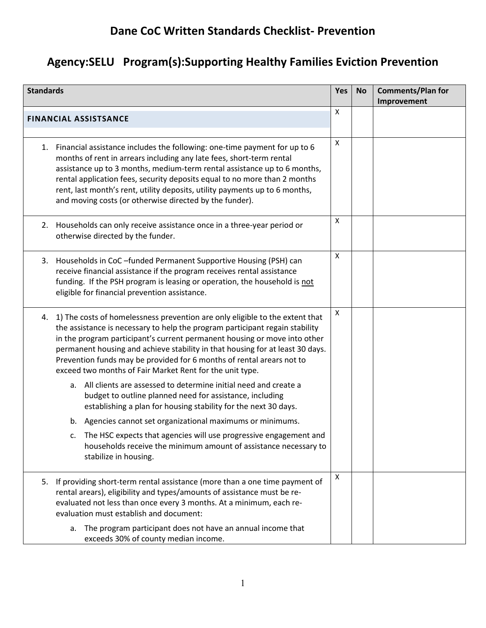# **Dane CoC Written Standards Checklist- Prevention**

# **Agency:SELU Program(s):Supporting Healthy Families Eviction Prevention**

| <b>Standards</b> |                                                                                                                                                                                                                                                                                                                                                                                                                                                                 | <b>Yes</b> | <b>No</b> | <b>Comments/Plan for</b><br>Improvement |
|------------------|-----------------------------------------------------------------------------------------------------------------------------------------------------------------------------------------------------------------------------------------------------------------------------------------------------------------------------------------------------------------------------------------------------------------------------------------------------------------|------------|-----------|-----------------------------------------|
|                  | <b>FINANCIAL ASSISTSANCE</b>                                                                                                                                                                                                                                                                                                                                                                                                                                    | X          |           |                                         |
|                  | 1. Financial assistance includes the following: one-time payment for up to 6<br>months of rent in arrears including any late fees, short-term rental<br>assistance up to 3 months, medium-term rental assistance up to 6 months,<br>rental application fees, security deposits equal to no more than 2 months<br>rent, last month's rent, utility deposits, utility payments up to 6 months,<br>and moving costs (or otherwise directed by the funder).         | X          |           |                                         |
|                  | 2. Households can only receive assistance once in a three-year period or<br>otherwise directed by the funder.                                                                                                                                                                                                                                                                                                                                                   | X          |           |                                         |
|                  | 3. Households in CoC-funded Permanent Supportive Housing (PSH) can<br>receive financial assistance if the program receives rental assistance<br>funding. If the PSH program is leasing or operation, the household is not<br>eligible for financial prevention assistance.                                                                                                                                                                                      | X          |           |                                         |
| 4.               | 1) The costs of homelessness prevention are only eligible to the extent that<br>the assistance is necessary to help the program participant regain stability<br>in the program participant's current permanent housing or move into other<br>permanent housing and achieve stability in that housing for at least 30 days.<br>Prevention funds may be provided for 6 months of rental arears not to<br>exceed two months of Fair Market Rent for the unit type. | X          |           |                                         |
|                  | All clients are assessed to determine initial need and create a<br>a.<br>budget to outline planned need for assistance, including<br>establishing a plan for housing stability for the next 30 days.                                                                                                                                                                                                                                                            |            |           |                                         |
|                  | Agencies cannot set organizational maximums or minimums.<br>b.<br>The HSC expects that agencies will use progressive engagement and<br>households receive the minimum amount of assistance necessary to<br>stabilize in housing.                                                                                                                                                                                                                                |            |           |                                         |
| 5.               | If providing short-term rental assistance (more than a one time payment of<br>rental arears), eligibility and types/amounts of assistance must be re-<br>evaluated not less than once every 3 months. At a minimum, each re-<br>evaluation must establish and document:                                                                                                                                                                                         | Χ          |           |                                         |
|                  | The program participant does not have an annual income that<br>a.<br>exceeds 30% of county median income.                                                                                                                                                                                                                                                                                                                                                       |            |           |                                         |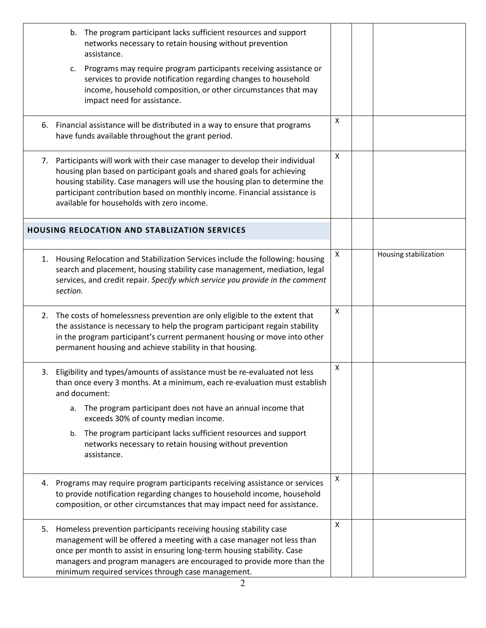| The program participant lacks sufficient resources and support<br>b.<br>networks necessary to retain housing without prevention<br>assistance.<br>Programs may require program participants receiving assistance or<br>c.<br>services to provide notification regarding changes to household<br>income, household composition, or other circumstances that may<br>impact need for assistance. |   |                       |
|-----------------------------------------------------------------------------------------------------------------------------------------------------------------------------------------------------------------------------------------------------------------------------------------------------------------------------------------------------------------------------------------------|---|-----------------------|
| 6. Financial assistance will be distributed in a way to ensure that programs<br>have funds available throughout the grant period.                                                                                                                                                                                                                                                             | X |                       |
| 7. Participants will work with their case manager to develop their individual<br>housing plan based on participant goals and shared goals for achieving<br>housing stability. Case managers will use the housing plan to determine the<br>participant contribution based on monthly income. Financial assistance is<br>available for households with zero income.                             | X |                       |
| <b>HOUSING RELOCATION AND STABLIZATION SERVICES</b>                                                                                                                                                                                                                                                                                                                                           |   |                       |
| 1. Housing Relocation and Stabilization Services include the following: housing<br>search and placement, housing stability case management, mediation, legal<br>services, and credit repair. Specify which service you provide in the comment<br>section.                                                                                                                                     | X | Housing stabilization |
| 2. The costs of homelessness prevention are only eligible to the extent that<br>the assistance is necessary to help the program participant regain stability<br>in the program participant's current permanent housing or move into other<br>permanent housing and achieve stability in that housing.                                                                                         | X |                       |
| 3. Eligibility and types/amounts of assistance must be re-evaluated not less<br>than once every 3 months. At a minimum, each re-evaluation must establish<br>and document:<br>The program participant does not have an annual income that<br>a.<br>exceeds 30% of county median income.<br>The program participant lacks sufficient resources and support<br>b.                               | X |                       |
| networks necessary to retain housing without prevention<br>assistance.                                                                                                                                                                                                                                                                                                                        |   |                       |
| 4. Programs may require program participants receiving assistance or services<br>to provide notification regarding changes to household income, household<br>composition, or other circumstances that may impact need for assistance.                                                                                                                                                         | Χ |                       |
| 5. Homeless prevention participants receiving housing stability case<br>management will be offered a meeting with a case manager not less than<br>once per month to assist in ensuring long-term housing stability. Case<br>managers and program managers are encouraged to provide more than the<br>minimum required services through case management.                                       | X |                       |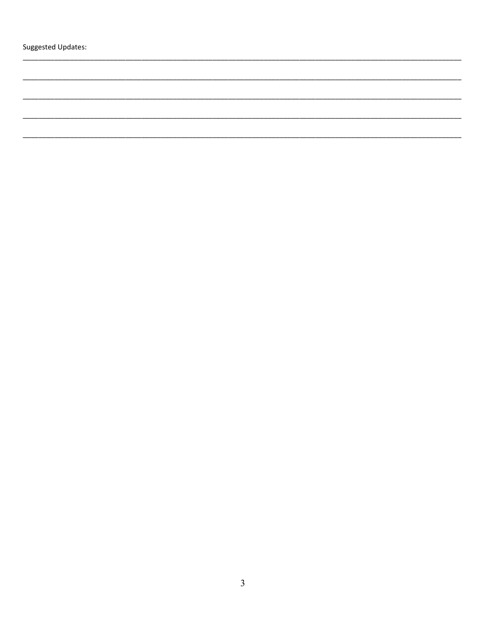Suggested Updates: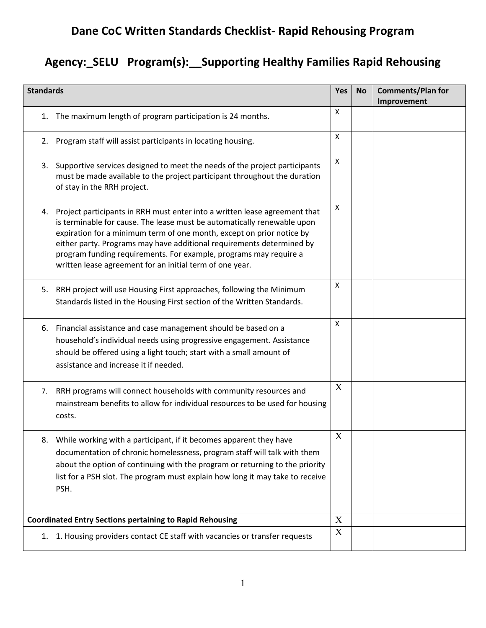# **Dane CoC Written Standards Checklist- Rapid Rehousing Program**

# **Agency:\_SELU Program(s):\_\_Supporting Healthy Families Rapid Rehousing**

| <b>Standards</b> |                                                                                                                                                                                                                                                                                                                                                                                                                                          | <b>Yes</b> | <b>No</b> | <b>Comments/Plan for</b><br>Improvement |
|------------------|------------------------------------------------------------------------------------------------------------------------------------------------------------------------------------------------------------------------------------------------------------------------------------------------------------------------------------------------------------------------------------------------------------------------------------------|------------|-----------|-----------------------------------------|
| 1.               | The maximum length of program participation is 24 months.                                                                                                                                                                                                                                                                                                                                                                                | X          |           |                                         |
|                  | 2. Program staff will assist participants in locating housing.                                                                                                                                                                                                                                                                                                                                                                           | X          |           |                                         |
|                  | 3. Supportive services designed to meet the needs of the project participants<br>must be made available to the project participant throughout the duration<br>of stay in the RRH project.                                                                                                                                                                                                                                                | X          |           |                                         |
| 4.               | Project participants in RRH must enter into a written lease agreement that<br>is terminable for cause. The lease must be automatically renewable upon<br>expiration for a minimum term of one month, except on prior notice by<br>either party. Programs may have additional requirements determined by<br>program funding requirements. For example, programs may require a<br>written lease agreement for an initial term of one year. | X          |           |                                         |
| 5.               | RRH project will use Housing First approaches, following the Minimum<br>Standards listed in the Housing First section of the Written Standards.                                                                                                                                                                                                                                                                                          | X          |           |                                         |
| 6.               | Financial assistance and case management should be based on a<br>household's individual needs using progressive engagement. Assistance<br>should be offered using a light touch; start with a small amount of<br>assistance and increase it if needed.                                                                                                                                                                                   | X          |           |                                         |
| 7.               | RRH programs will connect households with community resources and<br>mainstream benefits to allow for individual resources to be used for housing<br>costs.                                                                                                                                                                                                                                                                              | X          |           |                                         |
| 8.               | While working with a participant, if it becomes apparent they have<br>documentation of chronic homelessness, program staff will talk with them<br>about the option of continuing with the program or returning to the priority<br>list for a PSH slot. The program must explain how long it may take to receive<br>PSH.                                                                                                                  | X          |           |                                         |
|                  | <b>Coordinated Entry Sections pertaining to Rapid Rehousing</b>                                                                                                                                                                                                                                                                                                                                                                          | X          |           |                                         |
|                  | 1. 1. Housing providers contact CE staff with vacancies or transfer requests                                                                                                                                                                                                                                                                                                                                                             | X          |           |                                         |